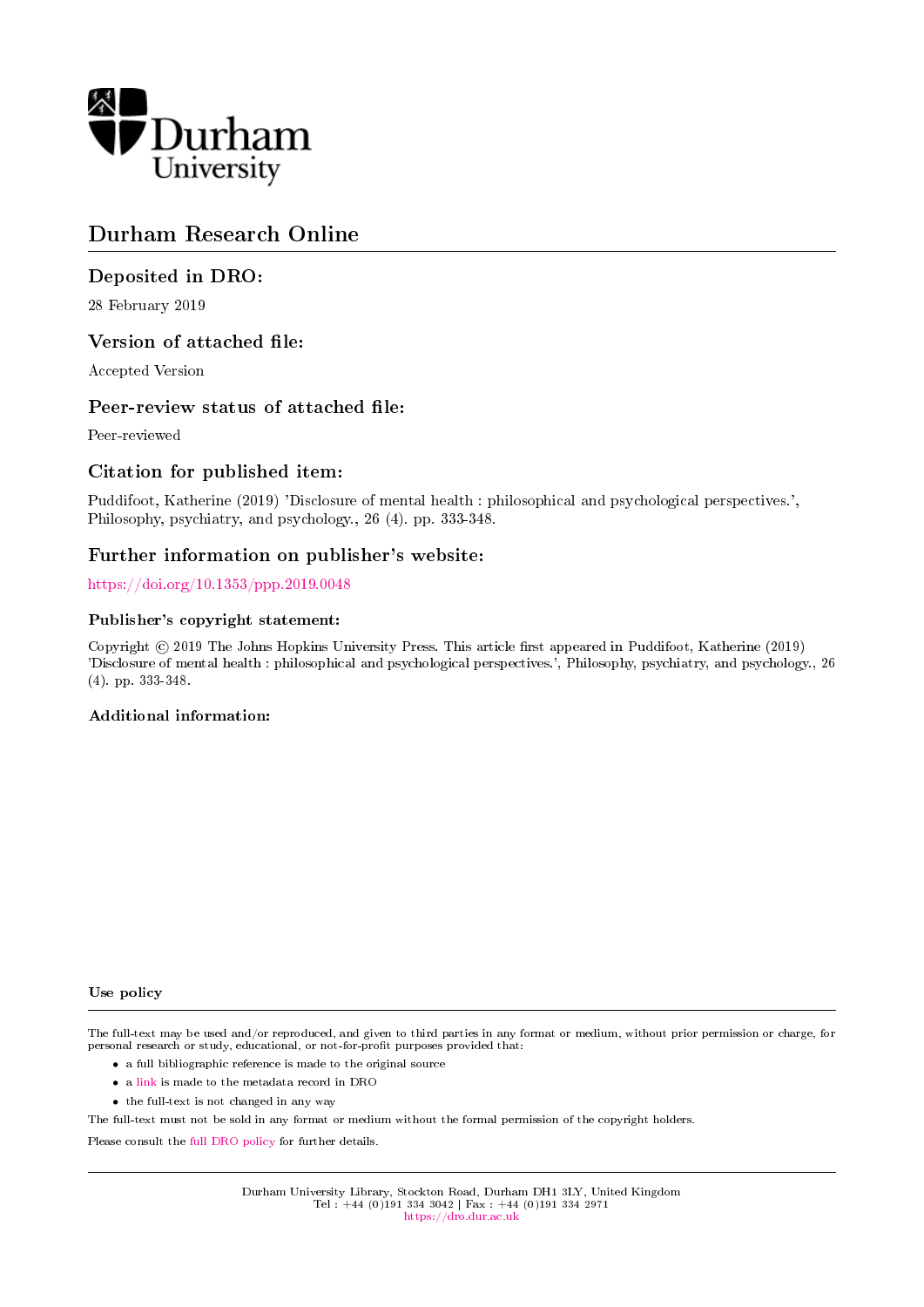

# Durham Research Online

## Deposited in DRO:

28 February 2019

### Version of attached file:

Accepted Version

### Peer-review status of attached file:

Peer-reviewed

### Citation for published item:

Puddifoot, Katherine (2019) 'Disclosure of mental health : philosophical and psychological perspectives.', Philosophy, psychiatry, and psychology., 26 (4). pp. 333-348.

### Further information on publisher's website:

<https://doi.org/10.1353/ppp.2019.0048>

#### Publisher's copyright statement:

Copyright © 2019 The Johns Hopkins University Press. This article first appeared in Puddifoot, Katherine (2019) 'Disclosure of mental health : philosophical and psychological perspectives.', Philosophy, psychiatry, and psychology., 26 (4). pp. 333-348.

#### Additional information:

#### Use policy

The full-text may be used and/or reproduced, and given to third parties in any format or medium, without prior permission or charge, for personal research or study, educational, or not-for-profit purposes provided that:

- a full bibliographic reference is made to the original source
- a [link](http://dro.dur.ac.uk/27545/) is made to the metadata record in DRO
- the full-text is not changed in any way

The full-text must not be sold in any format or medium without the formal permission of the copyright holders.

Please consult the [full DRO policy](https://dro.dur.ac.uk/policies/usepolicy.pdf) for further details.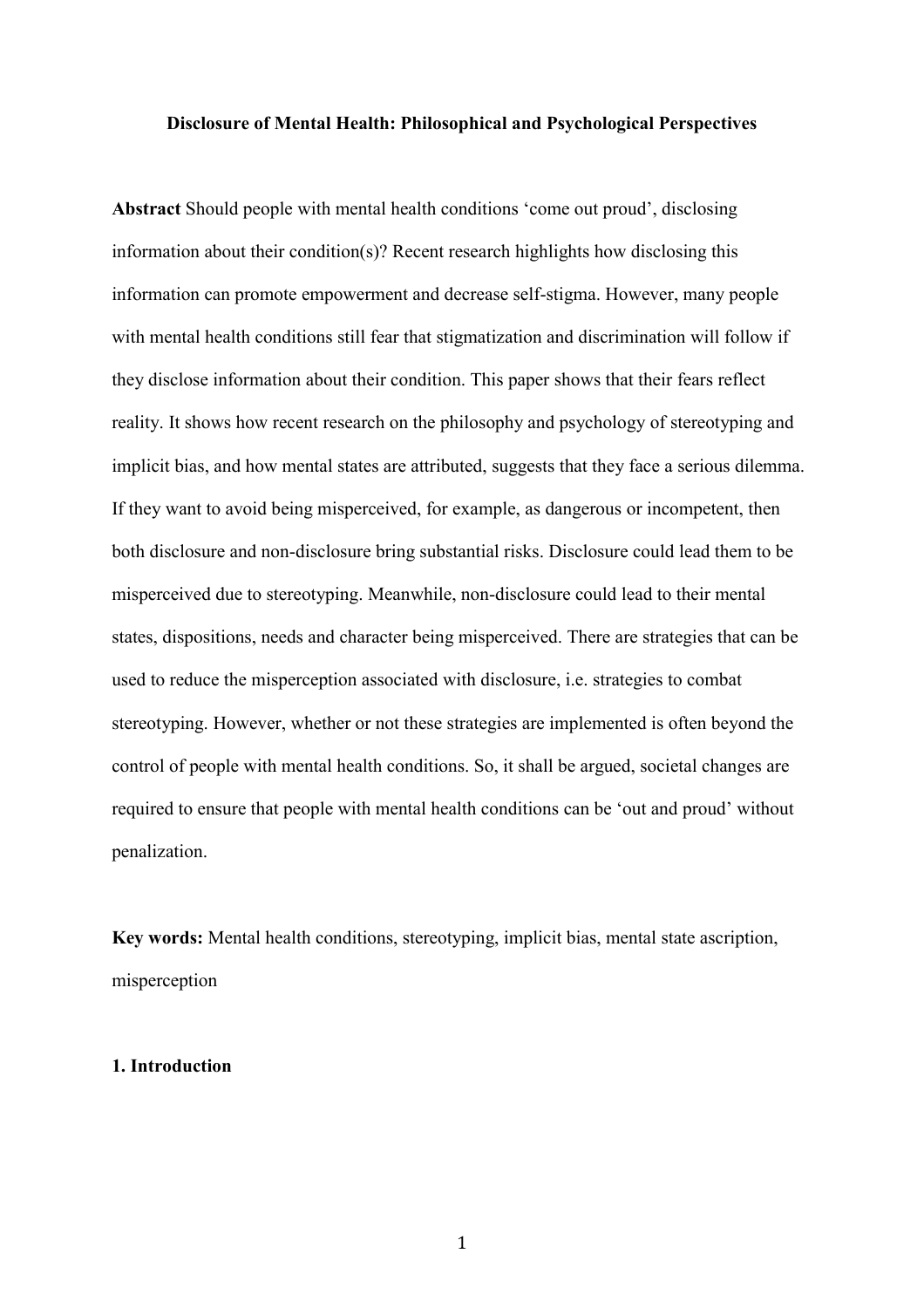#### **Disclosure of Mental Health: Philosophical and Psychological Perspectives**

**Abstract** Should people with mental health conditions 'come out proud', disclosing information about their condition(s)? Recent research highlights how disclosing this information can promote empowerment and decrease self-stigma. However, many people with mental health conditions still fear that stigmatization and discrimination will follow if they disclose information about their condition. This paper shows that their fears reflect reality. It shows how recent research on the philosophy and psychology of stereotyping and implicit bias, and how mental states are attributed, suggests that they face a serious dilemma. If they want to avoid being misperceived, for example, as dangerous or incompetent, then both disclosure and non-disclosure bring substantial risks. Disclosure could lead them to be misperceived due to stereotyping. Meanwhile, non-disclosure could lead to their mental states, dispositions, needs and character being misperceived. There are strategies that can be used to reduce the misperception associated with disclosure, i.e. strategies to combat stereotyping. However, whether or not these strategies are implemented is often beyond the control of people with mental health conditions. So, it shall be argued, societal changes are required to ensure that people with mental health conditions can be 'out and proud' without penalization.

**Key words:** Mental health conditions, stereotyping, implicit bias, mental state ascription, misperception

## **1. Introduction**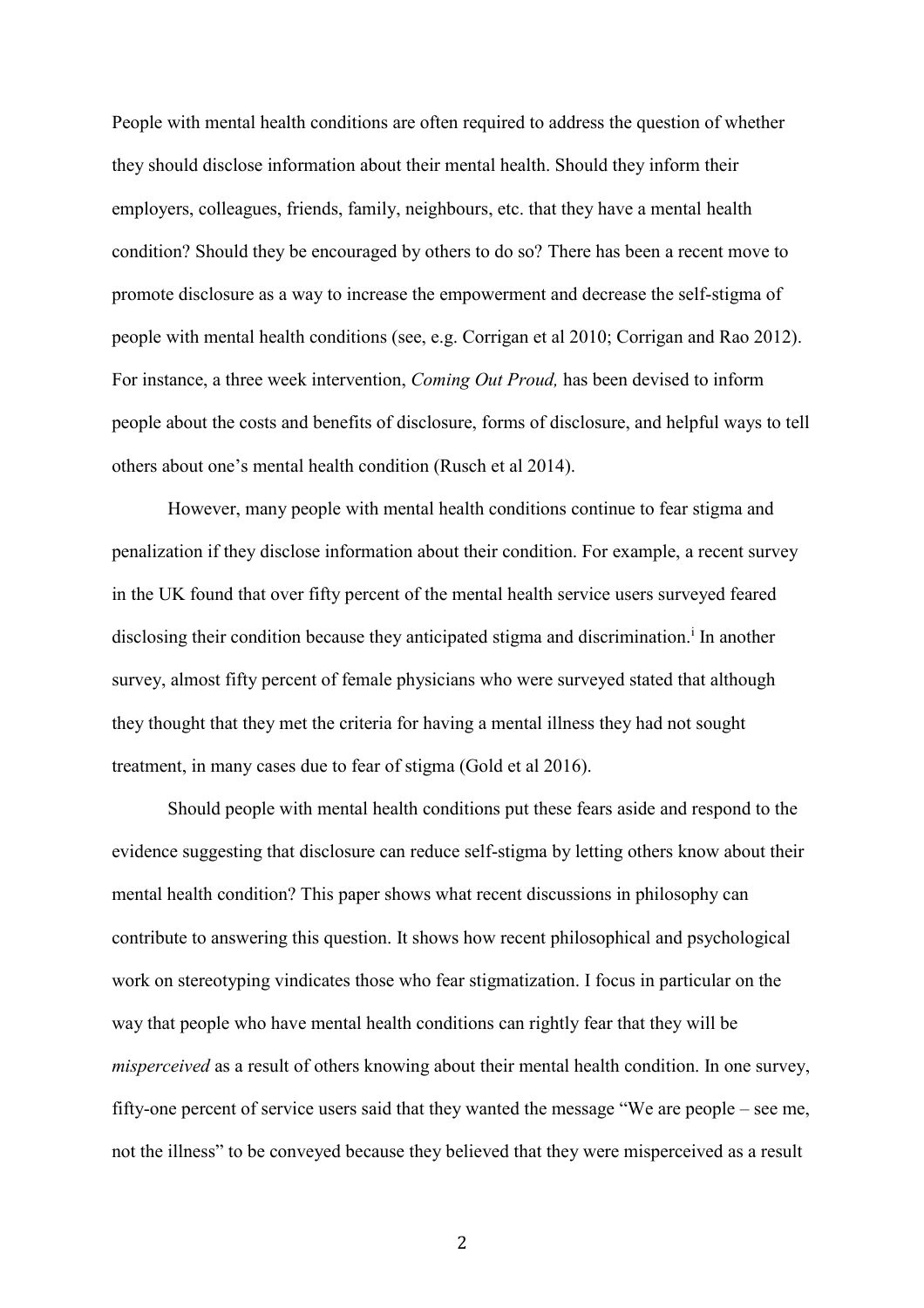People with mental health conditions are often required to address the question of whether they should disclose information about their mental health. Should they inform their employers, colleagues, friends, family, neighbours, etc. that they have a mental health condition? Should they be encouraged by others to do so? There has been a recent move to promote disclosure as a way to increase the empowerment and decrease the self-stigma of people with mental health conditions (see, e.g. Corrigan et al 2010; Corrigan and Rao 2012). For instance, a three week intervention, *Coming Out Proud,* has been devised to inform people about the costs and benefits of disclosure, forms of disclosure, and helpful ways to tell others about one's mental health condition (Rusch et al 2014).

However, many people with mental health conditions continue to fear stigma and penalization if they disclose information about their condition. For example, a recent survey in the UK found that over fifty percent of the mental health service users surveyed feared disclosing their condition because they anticipated stigma and discrimination.<sup>i</sup> In another survey, almost fifty percent of female physicians who were surveyed stated that although they thought that they met the criteria for having a mental illness they had not sought treatment, in many cases due to fear of stigma (Gold et al 2016).

Should people with mental health conditions put these fears aside and respond to the evidence suggesting that disclosure can reduce self-stigma by letting others know about their mental health condition? This paper shows what recent discussions in philosophy can contribute to answering this question. It shows how recent philosophical and psychological work on stereotyping vindicates those who fear stigmatization. I focus in particular on the way that people who have mental health conditions can rightly fear that they will be *misperceived* as a result of others knowing about their mental health condition. In one survey, fifty-one percent of service users said that they wanted the message "We are people – see me, not the illness" to be conveyed because they believed that they were misperceived as a result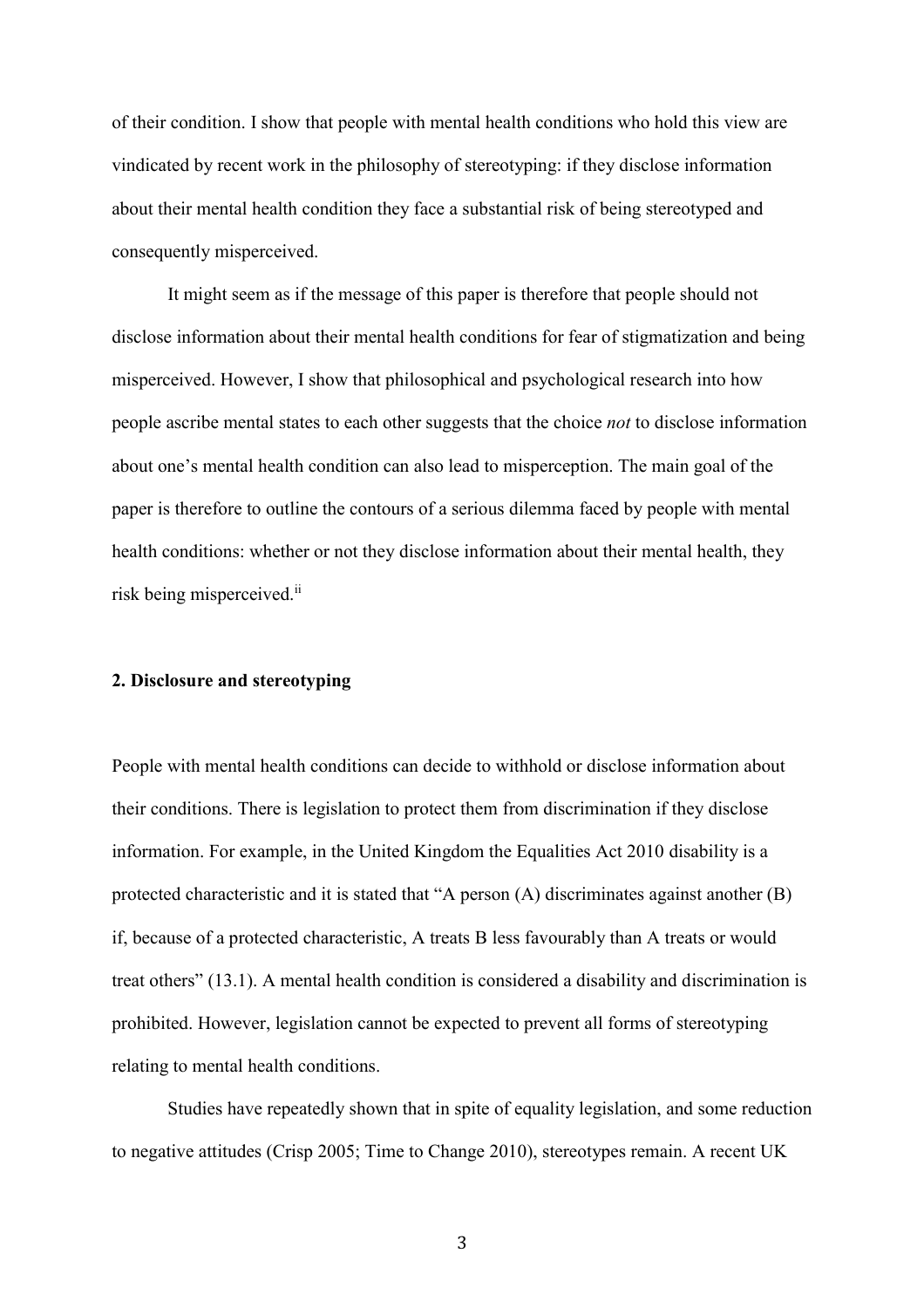of their condition. I show that people with mental health conditions who hold this view are vindicated by recent work in the philosophy of stereotyping: if they disclose information about their mental health condition they face a substantial risk of being stereotyped and consequently misperceived.

It might seem as if the message of this paper is therefore that people should not disclose information about their mental health conditions for fear of stigmatization and being misperceived. However, I show that philosophical and psychological research into how people ascribe mental states to each other suggests that the choice *not* to disclose information about one's mental health condition can also lead to misperception. The main goal of the paper is therefore to outline the contours of a serious dilemma faced by people with mental health conditions: whether or not they disclose information about their mental health, they risk being misperceived.ii

### **2. Disclosure and stereotyping**

People with mental health conditions can decide to withhold or disclose information about their conditions. There is legislation to protect them from discrimination if they disclose information. For example, in the United Kingdom the Equalities Act 2010 disability is a protected characteristic and it is stated that "A person (A) discriminates against another (B) if, because of a protected characteristic, A treats B less favourably than A treats or would treat others" (13.1). A mental health condition is considered a disability and discrimination is prohibited. However, legislation cannot be expected to prevent all forms of stereotyping relating to mental health conditions.

Studies have repeatedly shown that in spite of equality legislation, and some reduction to negative attitudes (Crisp 2005; Time to Change 2010), stereotypes remain. A recent UK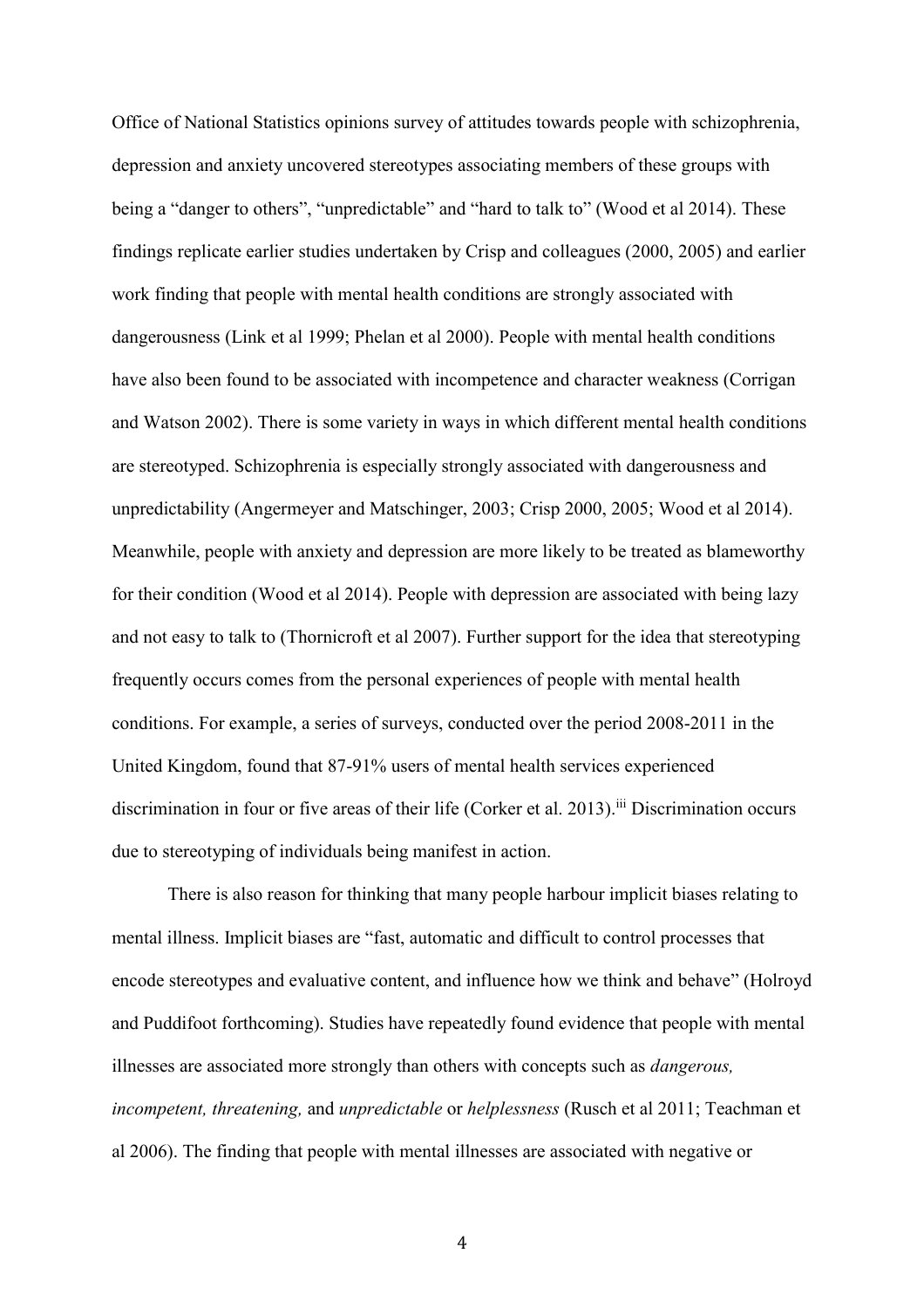Office of National Statistics opinions survey of attitudes towards people with schizophrenia, depression and anxiety uncovered stereotypes associating members of these groups with being a "danger to others", "unpredictable" and "hard to talk to" (Wood et al 2014). These findings replicate earlier studies undertaken by Crisp and colleagues (2000, 2005) and earlier work finding that people with mental health conditions are strongly associated with dangerousness (Link et al 1999; Phelan et al 2000). People with mental health conditions have also been found to be associated with incompetence and character weakness (Corrigan and Watson 2002). There is some variety in ways in which different mental health conditions are stereotyped. Schizophrenia is especially strongly associated with dangerousness and unpredictability (Angermeyer and Matschinger, 2003; Crisp 2000, 2005; Wood et al 2014). Meanwhile, people with anxiety and depression are more likely to be treated as blameworthy for their condition (Wood et al 2014). People with depression are associated with being lazy and not easy to talk to (Thornicroft et al 2007). Further support for the idea that stereotyping frequently occurs comes from the personal experiences of people with mental health conditions. For example, a series of surveys, conducted over the period 2008-2011 in the United Kingdom, found that 87-91% users of mental health services experienced discrimination in four or five areas of their life (Corker et al. 2013).<sup>iii</sup> Discrimination occurs due to stereotyping of individuals being manifest in action.

There is also reason for thinking that many people harbour implicit biases relating to mental illness. Implicit biases are "fast, automatic and difficult to control processes that encode stereotypes and evaluative content, and influence how we think and behave" (Holroyd and Puddifoot forthcoming). Studies have repeatedly found evidence that people with mental illnesses are associated more strongly than others with concepts such as *dangerous, incompetent, threatening,* and *unpredictable* or *helplessness* (Rusch et al 2011; Teachman et al 2006). The finding that people with mental illnesses are associated with negative or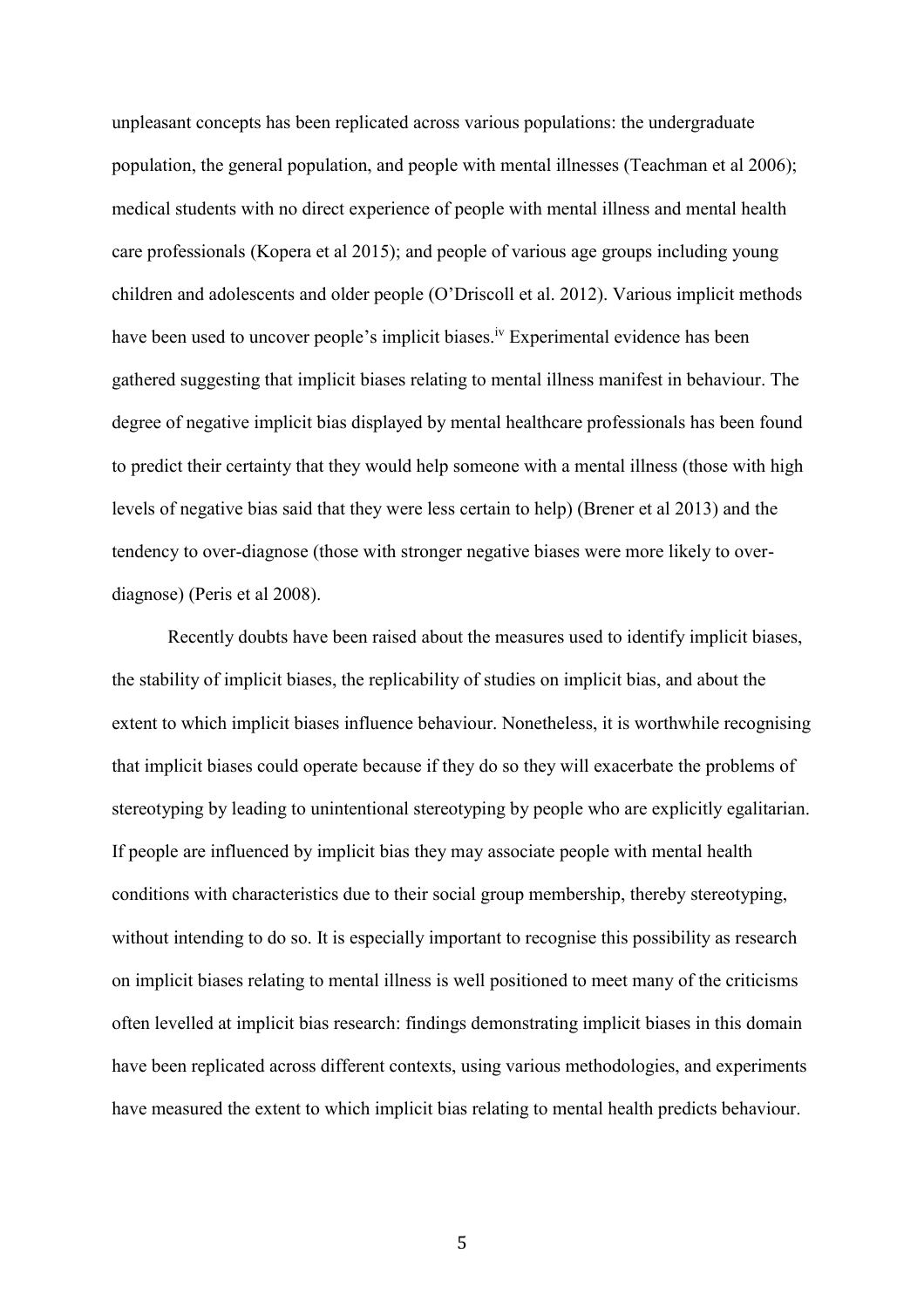unpleasant concepts has been replicated across various populations: the undergraduate population, the general population, and people with mental illnesses (Teachman et al 2006); medical students with no direct experience of people with mental illness and mental health care professionals (Kopera et al 2015); and people of various age groups including young children and adolescents and older people (O'Driscoll et al. 2012). Various implicit methods have been used to uncover people's implicit biases.<sup>iv</sup> Experimental evidence has been gathered suggesting that implicit biases relating to mental illness manifest in behaviour. The degree of negative implicit bias displayed by mental healthcare professionals has been found to predict their certainty that they would help someone with a mental illness (those with high levels of negative bias said that they were less certain to help) (Brener et al 2013) and the tendency to over-diagnose (those with stronger negative biases were more likely to overdiagnose) (Peris et al 2008).

Recently doubts have been raised about the measures used to identify implicit biases, the stability of implicit biases, the replicability of studies on implicit bias, and about the extent to which implicit biases influence behaviour. Nonetheless, it is worthwhile recognising that implicit biases could operate because if they do so they will exacerbate the problems of stereotyping by leading to unintentional stereotyping by people who are explicitly egalitarian. If people are influenced by implicit bias they may associate people with mental health conditions with characteristics due to their social group membership, thereby stereotyping, without intending to do so. It is especially important to recognise this possibility as research on implicit biases relating to mental illness is well positioned to meet many of the criticisms often levelled at implicit bias research: findings demonstrating implicit biases in this domain have been replicated across different contexts, using various methodologies, and experiments have measured the extent to which implicit bias relating to mental health predicts behaviour.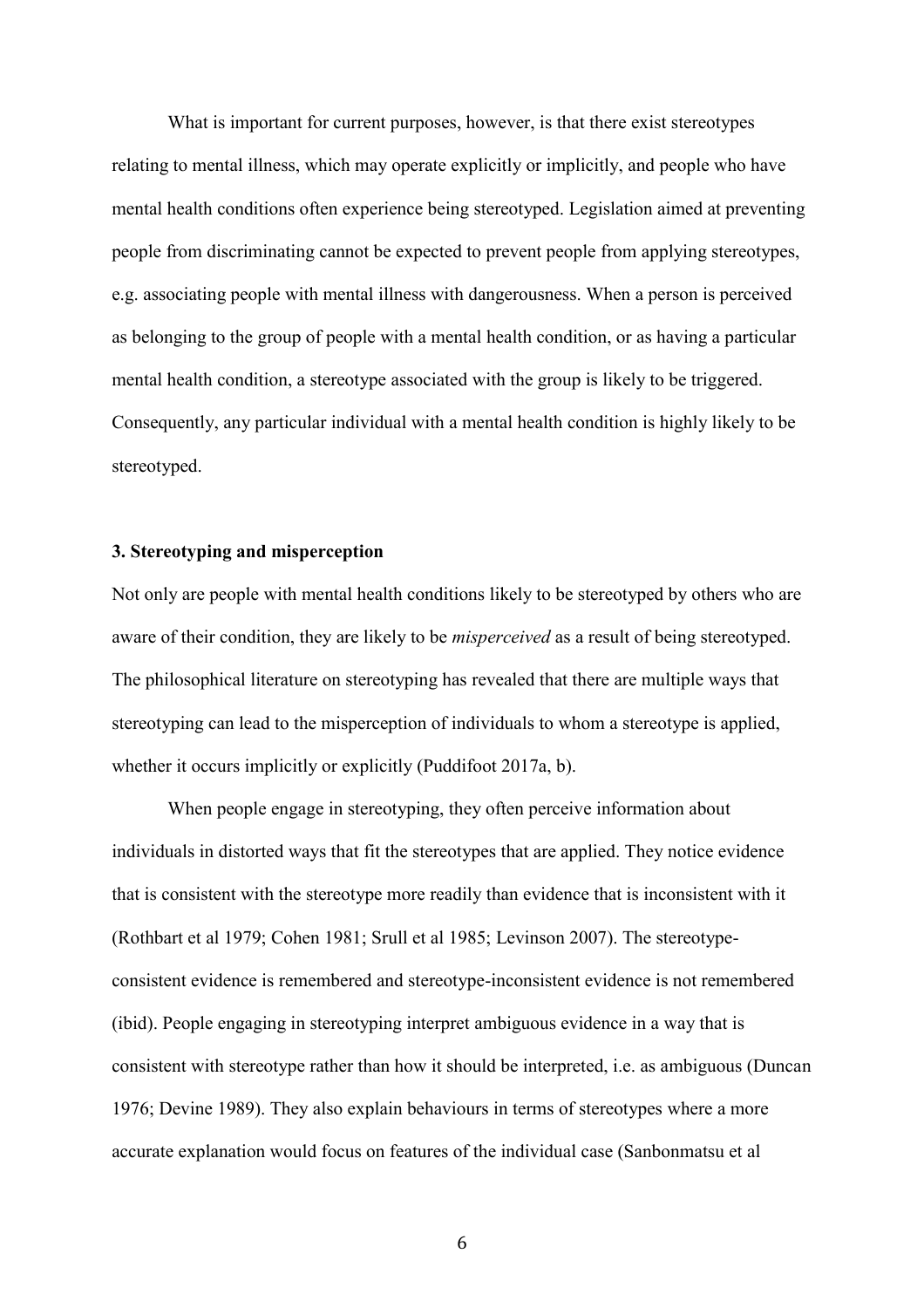What is important for current purposes, however, is that there exist stereotypes relating to mental illness, which may operate explicitly or implicitly, and people who have mental health conditions often experience being stereotyped. Legislation aimed at preventing people from discriminating cannot be expected to prevent people from applying stereotypes, e.g. associating people with mental illness with dangerousness. When a person is perceived as belonging to the group of people with a mental health condition, or as having a particular mental health condition, a stereotype associated with the group is likely to be triggered. Consequently, any particular individual with a mental health condition is highly likely to be stereotyped.

### **3. Stereotyping and misperception**

Not only are people with mental health conditions likely to be stereotyped by others who are aware of their condition, they are likely to be *misperceived* as a result of being stereotyped. The philosophical literature on stereotyping has revealed that there are multiple ways that stereotyping can lead to the misperception of individuals to whom a stereotype is applied, whether it occurs implicitly or explicitly (Puddifoot 2017a, b).

When people engage in stereotyping, they often perceive information about individuals in distorted ways that fit the stereotypes that are applied. They notice evidence that is consistent with the stereotype more readily than evidence that is inconsistent with it (Rothbart et al 1979; Cohen 1981; Srull et al 1985; Levinson 2007). The stereotypeconsistent evidence is remembered and stereotype-inconsistent evidence is not remembered (ibid). People engaging in stereotyping interpret ambiguous evidence in a way that is consistent with stereotype rather than how it should be interpreted, i.e. as ambiguous (Duncan 1976; Devine 1989). They also explain behaviours in terms of stereotypes where a more accurate explanation would focus on features of the individual case (Sanbonmatsu et al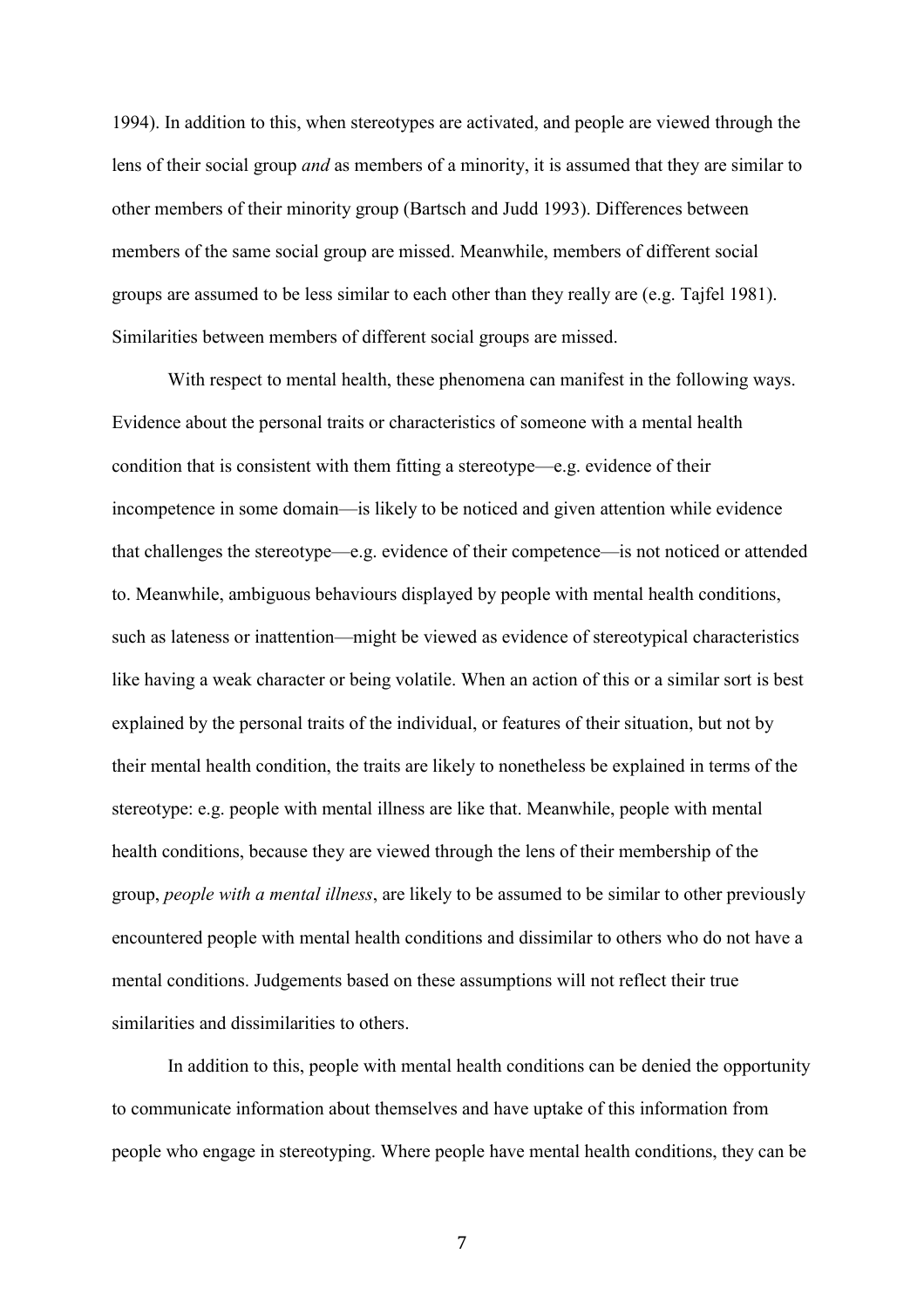1994). In addition to this, when stereotypes are activated, and people are viewed through the lens of their social group *and* as members of a minority, it is assumed that they are similar to other members of their minority group (Bartsch and Judd 1993). Differences between members of the same social group are missed. Meanwhile, members of different social groups are assumed to be less similar to each other than they really are (e.g. Tajfel 1981). Similarities between members of different social groups are missed.

With respect to mental health, these phenomena can manifest in the following ways. Evidence about the personal traits or characteristics of someone with a mental health condition that is consistent with them fitting a stereotype—e.g. evidence of their incompetence in some domain—is likely to be noticed and given attention while evidence that challenges the stereotype—e.g. evidence of their competence—is not noticed or attended to. Meanwhile, ambiguous behaviours displayed by people with mental health conditions, such as lateness or inattention—might be viewed as evidence of stereotypical characteristics like having a weak character or being volatile. When an action of this or a similar sort is best explained by the personal traits of the individual, or features of their situation, but not by their mental health condition, the traits are likely to nonetheless be explained in terms of the stereotype: e.g. people with mental illness are like that. Meanwhile, people with mental health conditions, because they are viewed through the lens of their membership of the group, *people with a mental illness*, are likely to be assumed to be similar to other previously encountered people with mental health conditions and dissimilar to others who do not have a mental conditions. Judgements based on these assumptions will not reflect their true similarities and dissimilarities to others.

In addition to this, people with mental health conditions can be denied the opportunity to communicate information about themselves and have uptake of this information from people who engage in stereotyping. Where people have mental health conditions, they can be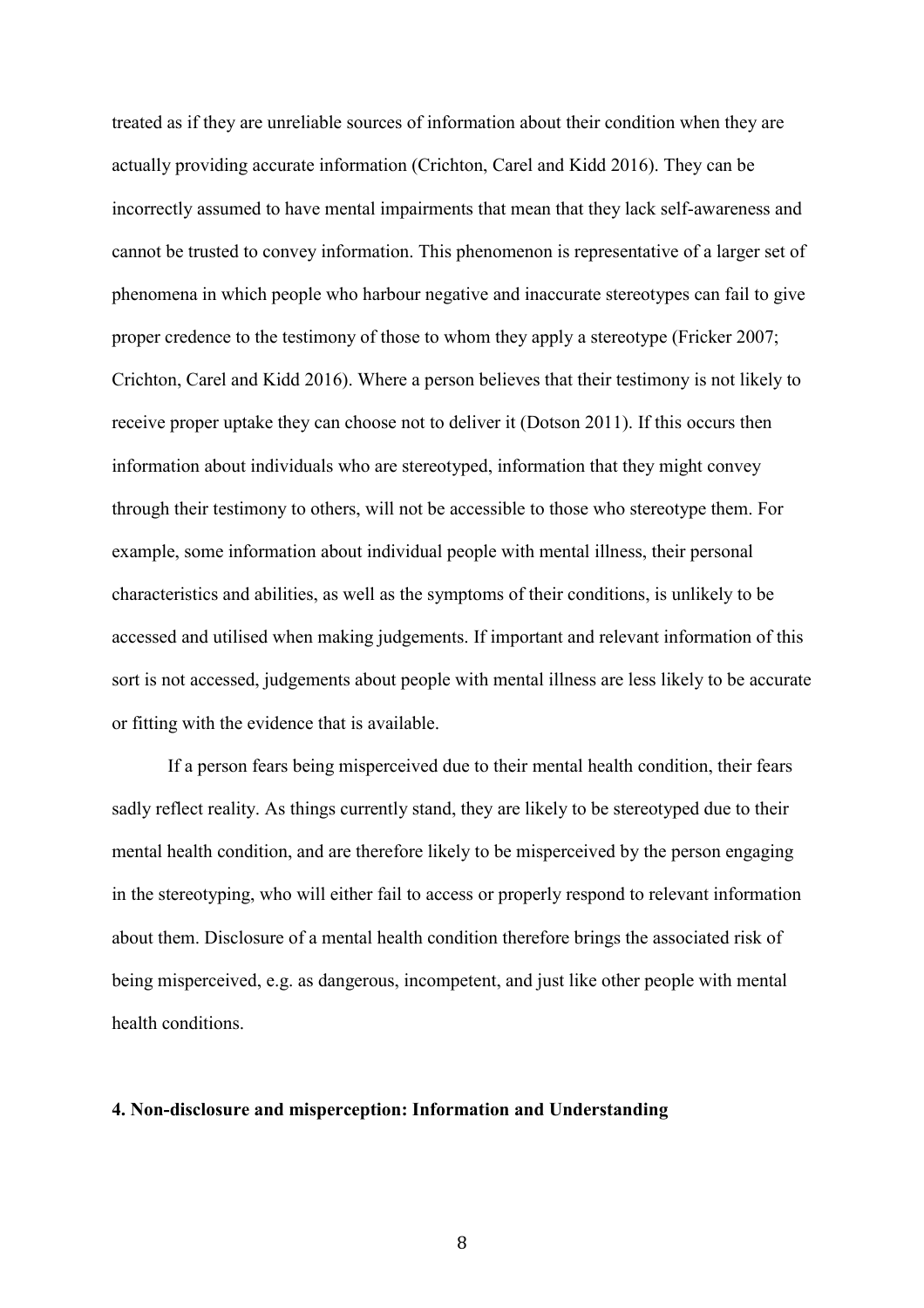treated as if they are unreliable sources of information about their condition when they are actually providing accurate information (Crichton, Carel and Kidd 2016). They can be incorrectly assumed to have mental impairments that mean that they lack self-awareness and cannot be trusted to convey information. This phenomenon is representative of a larger set of phenomena in which people who harbour negative and inaccurate stereotypes can fail to give proper credence to the testimony of those to whom they apply a stereotype (Fricker 2007; Crichton, Carel and Kidd 2016). Where a person believes that their testimony is not likely to receive proper uptake they can choose not to deliver it (Dotson 2011). If this occurs then information about individuals who are stereotyped, information that they might convey through their testimony to others, will not be accessible to those who stereotype them. For example, some information about individual people with mental illness, their personal characteristics and abilities, as well as the symptoms of their conditions, is unlikely to be accessed and utilised when making judgements. If important and relevant information of this sort is not accessed, judgements about people with mental illness are less likely to be accurate or fitting with the evidence that is available.

If a person fears being misperceived due to their mental health condition, their fears sadly reflect reality. As things currently stand, they are likely to be stereotyped due to their mental health condition, and are therefore likely to be misperceived by the person engaging in the stereotyping, who will either fail to access or properly respond to relevant information about them. Disclosure of a mental health condition therefore brings the associated risk of being misperceived, e.g. as dangerous, incompetent, and just like other people with mental health conditions.

#### **4. Non-disclosure and misperception: Information and Understanding**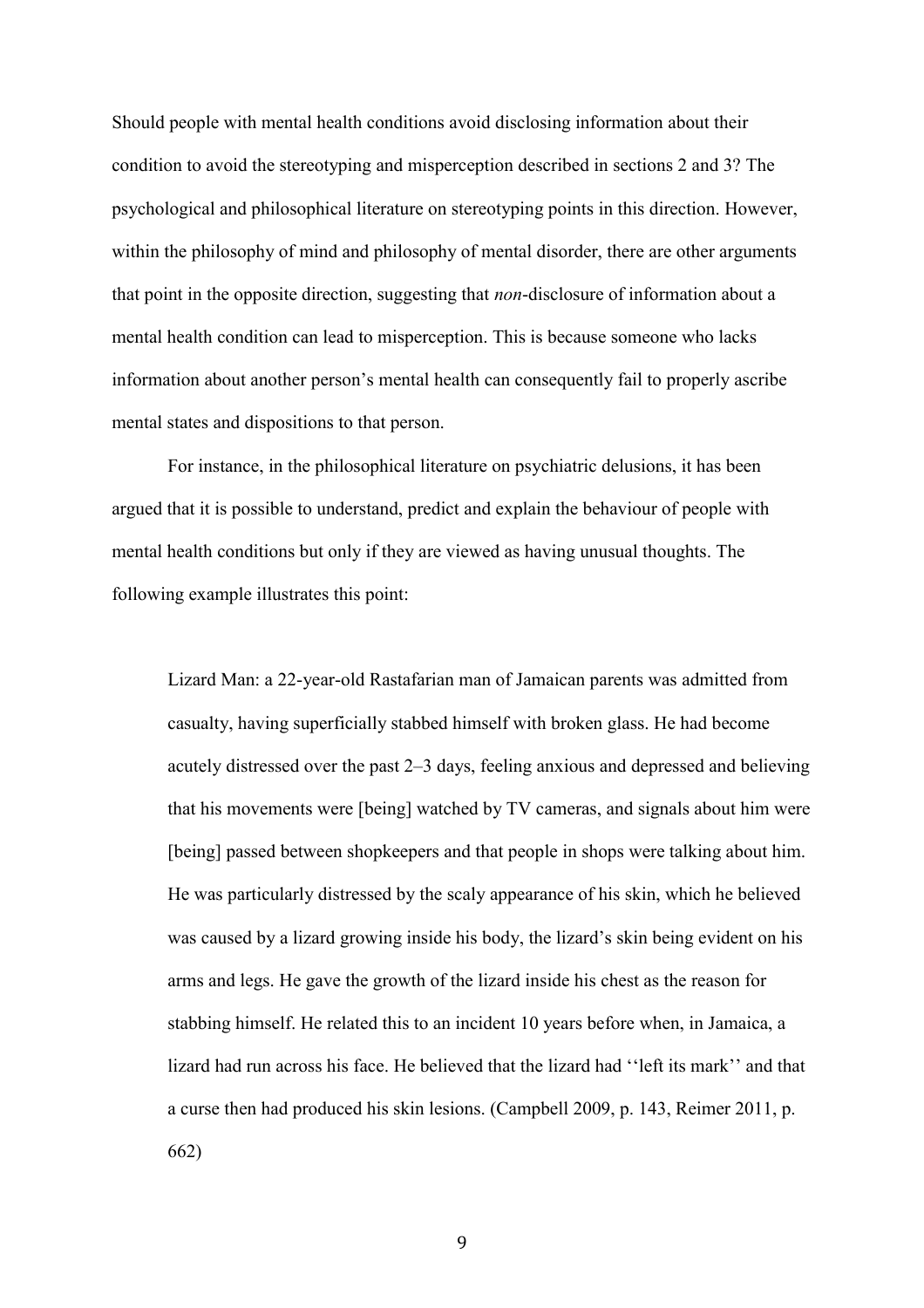Should people with mental health conditions avoid disclosing information about their condition to avoid the stereotyping and misperception described in sections 2 and 3? The psychological and philosophical literature on stereotyping points in this direction. However, within the philosophy of mind and philosophy of mental disorder, there are other arguments that point in the opposite direction, suggesting that *non*-disclosure of information about a mental health condition can lead to misperception. This is because someone who lacks information about another person's mental health can consequently fail to properly ascribe mental states and dispositions to that person.

For instance, in the philosophical literature on psychiatric delusions, it has been argued that it is possible to understand, predict and explain the behaviour of people with mental health conditions but only if they are viewed as having unusual thoughts. The following example illustrates this point:

Lizard Man: a 22-year-old Rastafarian man of Jamaican parents was admitted from casualty, having superficially stabbed himself with broken glass. He had become acutely distressed over the past 2–3 days, feeling anxious and depressed and believing that his movements were [being] watched by TV cameras, and signals about him were [being] passed between shopkeepers and that people in shops were talking about him. He was particularly distressed by the scaly appearance of his skin, which he believed was caused by a lizard growing inside his body, the lizard's skin being evident on his arms and legs. He gave the growth of the lizard inside his chest as the reason for stabbing himself. He related this to an incident 10 years before when, in Jamaica, a lizard had run across his face. He believed that the lizard had ''left its mark'' and that a curse then had produced his skin lesions. (Campbell 2009, p. 143, Reimer 2011, p. 662)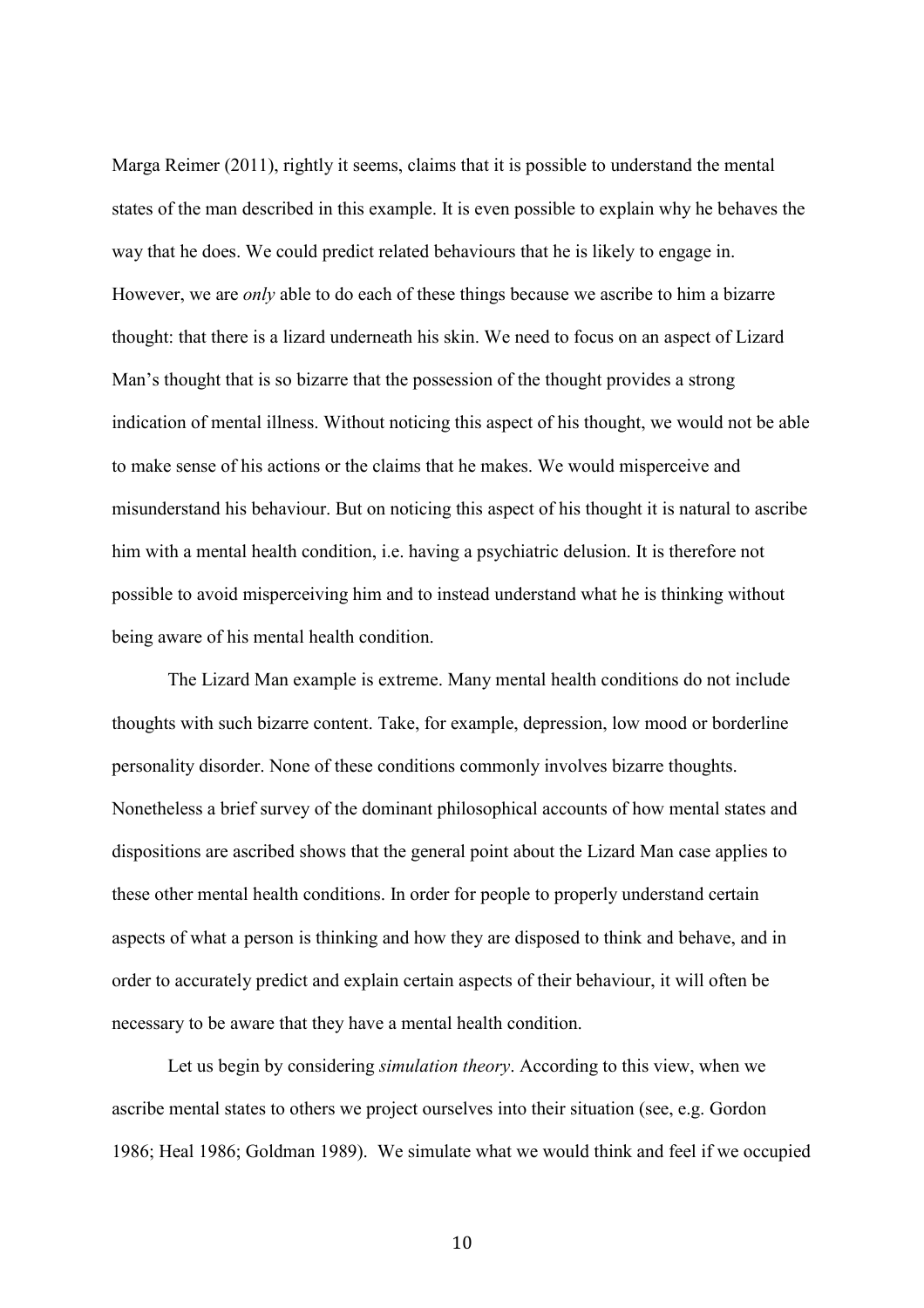Marga Reimer (2011), rightly it seems, claims that it is possible to understand the mental states of the man described in this example. It is even possible to explain why he behaves the way that he does. We could predict related behaviours that he is likely to engage in. However, we are *only* able to do each of these things because we ascribe to him a bizarre thought: that there is a lizard underneath his skin. We need to focus on an aspect of Lizard Man's thought that is so bizarre that the possession of the thought provides a strong indication of mental illness. Without noticing this aspect of his thought, we would not be able to make sense of his actions or the claims that he makes. We would misperceive and misunderstand his behaviour. But on noticing this aspect of his thought it is natural to ascribe him with a mental health condition, i.e. having a psychiatric delusion. It is therefore not possible to avoid misperceiving him and to instead understand what he is thinking without being aware of his mental health condition.

The Lizard Man example is extreme. Many mental health conditions do not include thoughts with such bizarre content. Take, for example, depression, low mood or borderline personality disorder. None of these conditions commonly involves bizarre thoughts. Nonetheless a brief survey of the dominant philosophical accounts of how mental states and dispositions are ascribed shows that the general point about the Lizard Man case applies to these other mental health conditions. In order for people to properly understand certain aspects of what a person is thinking and how they are disposed to think and behave, and in order to accurately predict and explain certain aspects of their behaviour, it will often be necessary to be aware that they have a mental health condition.

Let us begin by considering *simulation theory*. According to this view, when we ascribe mental states to others we project ourselves into their situation (see, e.g. Gordon 1986; Heal 1986; Goldman 1989). We simulate what we would think and feel if we occupied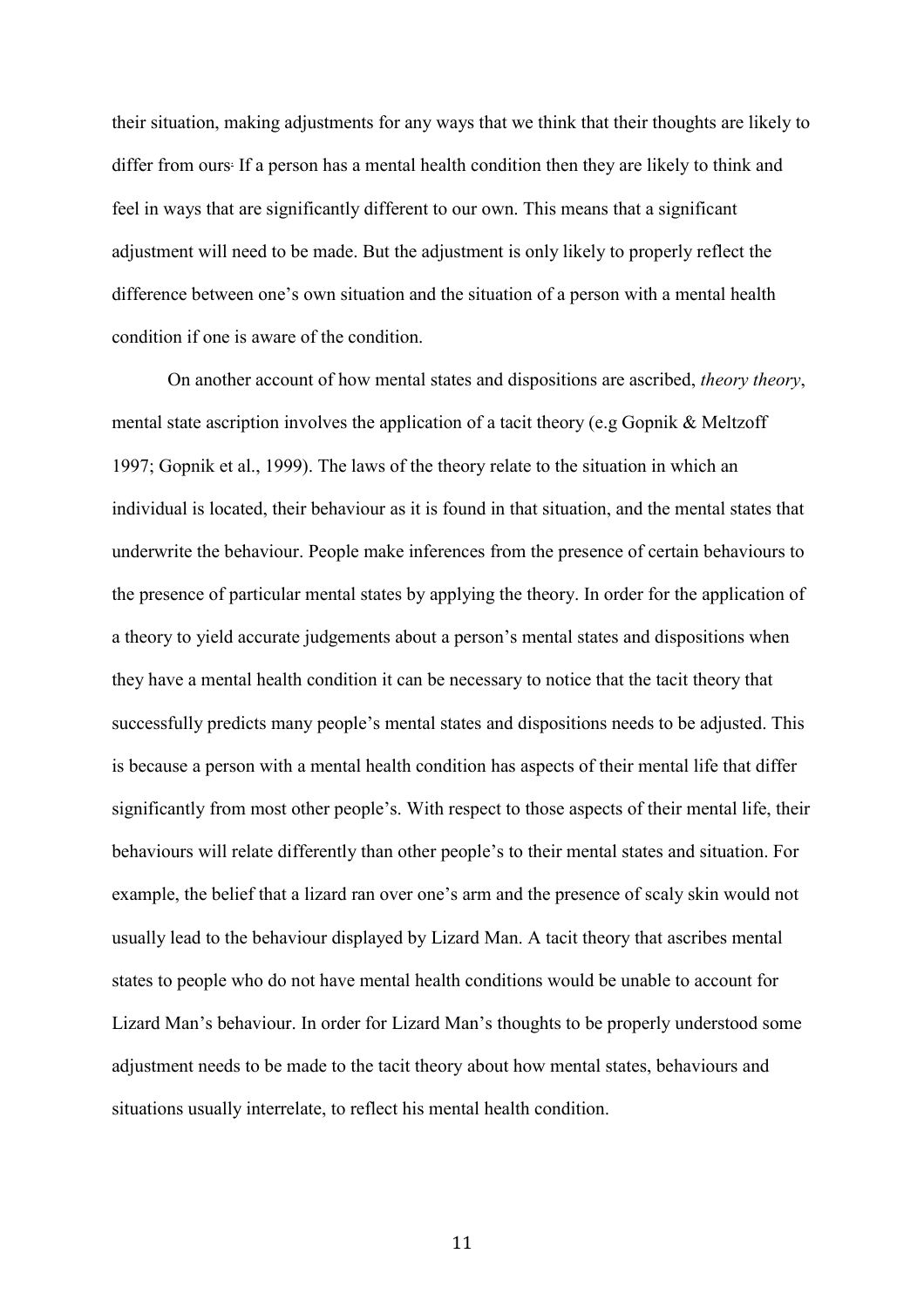their situation, making adjustments for any ways that we think that their thoughts are likely to differ from ours. If a person has a mental health condition then they are likely to think and feel in ways that are significantly different to our own. This means that a significant adjustment will need to be made. But the adjustment is only likely to properly reflect the difference between one's own situation and the situation of a person with a mental health condition if one is aware of the condition.

On another account of how mental states and dispositions are ascribed, *theory theory*, mental state ascription involves the application of a tacit theory (e.g Gopnik & Meltzoff 1997; Gopnik et al., 1999). The laws of the theory relate to the situation in which an individual is located, their behaviour as it is found in that situation, and the mental states that underwrite the behaviour. People make inferences from the presence of certain behaviours to the presence of particular mental states by applying the theory. In order for the application of a theory to yield accurate judgements about a person's mental states and dispositions when they have a mental health condition it can be necessary to notice that the tacit theory that successfully predicts many people's mental states and dispositions needs to be adjusted. This is because a person with a mental health condition has aspects of their mental life that differ significantly from most other people's. With respect to those aspects of their mental life, their behaviours will relate differently than other people's to their mental states and situation. For example, the belief that a lizard ran over one's arm and the presence of scaly skin would not usually lead to the behaviour displayed by Lizard Man. A tacit theory that ascribes mental states to people who do not have mental health conditions would be unable to account for Lizard Man's behaviour. In order for Lizard Man's thoughts to be properly understood some adjustment needs to be made to the tacit theory about how mental states, behaviours and situations usually interrelate, to reflect his mental health condition.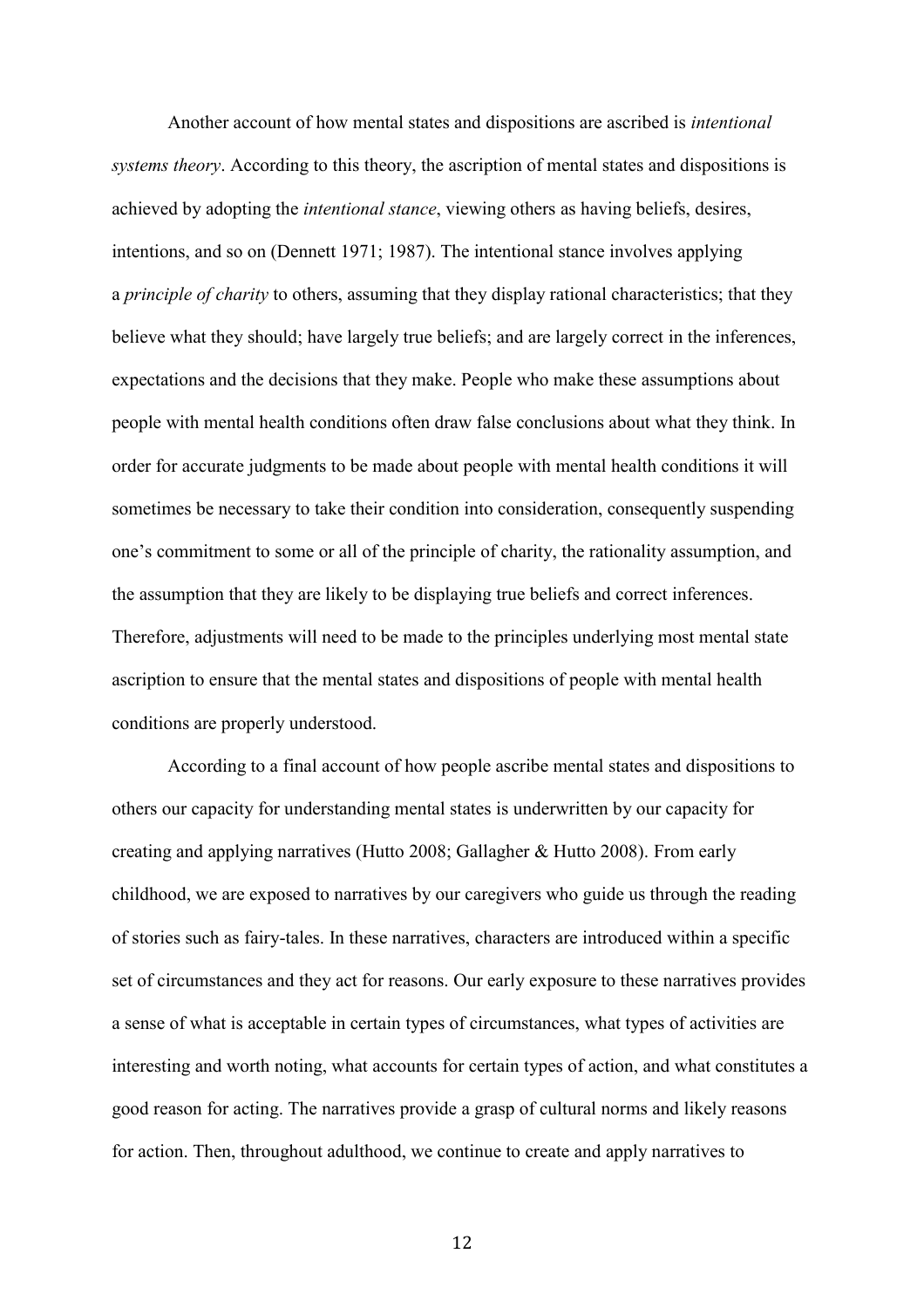Another account of how mental states and dispositions are ascribed is *intentional systems theory*. According to this theory, the ascription of mental states and dispositions is achieved by adopting the *intentional stance*, viewing others as having beliefs, desires, intentions, and so on (Dennett 1971; 1987). The intentional stance involves applying a *principle of charity* to others, assuming that they display rational characteristics; that they believe what they should; have largely true beliefs; and are largely correct in the inferences, expectations and the decisions that they make. People who make these assumptions about people with mental health conditions often draw false conclusions about what they think. In order for accurate judgments to be made about people with mental health conditions it will sometimes be necessary to take their condition into consideration, consequently suspending one's commitment to some or all of the principle of charity, the rationality assumption, and the assumption that they are likely to be displaying true beliefs and correct inferences. Therefore, adjustments will need to be made to the principles underlying most mental state ascription to ensure that the mental states and dispositions of people with mental health conditions are properly understood.

According to a final account of how people ascribe mental states and dispositions to others our capacity for understanding mental states is underwritten by our capacity for creating and applying narratives (Hutto 2008; Gallagher & Hutto 2008). From early childhood, we are exposed to narratives by our caregivers who guide us through the reading of stories such as fairy-tales. In these narratives, characters are introduced within a specific set of circumstances and they act for reasons. Our early exposure to these narratives provides a sense of what is acceptable in certain types of circumstances, what types of activities are interesting and worth noting, what accounts for certain types of action, and what constitutes a good reason for acting. The narratives provide a grasp of cultural norms and likely reasons for action. Then, throughout adulthood, we continue to create and apply narratives to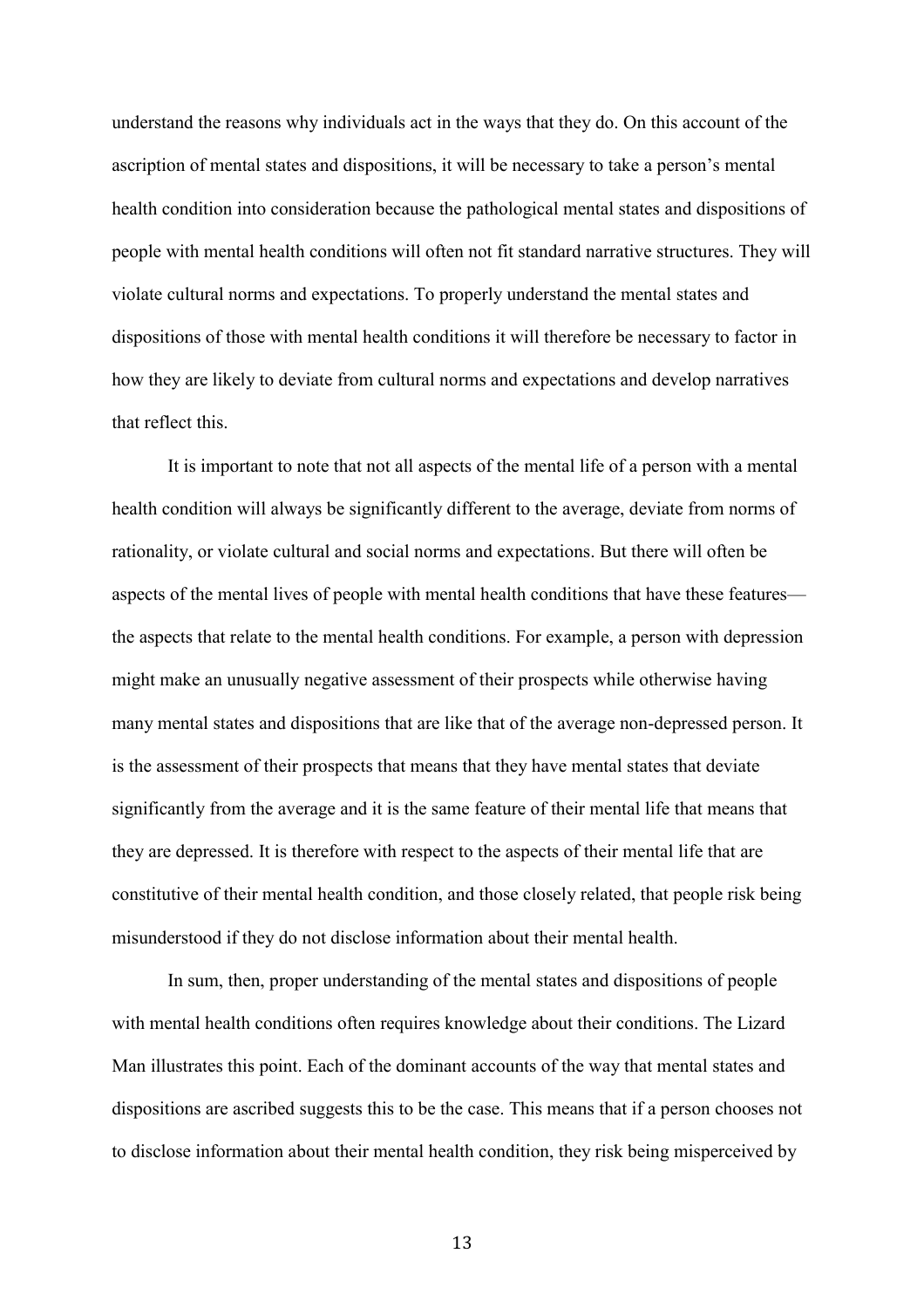understand the reasons why individuals act in the ways that they do. On this account of the ascription of mental states and dispositions, it will be necessary to take a person's mental health condition into consideration because the pathological mental states and dispositions of people with mental health conditions will often not fit standard narrative structures. They will violate cultural norms and expectations. To properly understand the mental states and dispositions of those with mental health conditions it will therefore be necessary to factor in how they are likely to deviate from cultural norms and expectations and develop narratives that reflect this.

It is important to note that not all aspects of the mental life of a person with a mental health condition will always be significantly different to the average, deviate from norms of rationality, or violate cultural and social norms and expectations. But there will often be aspects of the mental lives of people with mental health conditions that have these features the aspects that relate to the mental health conditions. For example, a person with depression might make an unusually negative assessment of their prospects while otherwise having many mental states and dispositions that are like that of the average non-depressed person. It is the assessment of their prospects that means that they have mental states that deviate significantly from the average and it is the same feature of their mental life that means that they are depressed. It is therefore with respect to the aspects of their mental life that are constitutive of their mental health condition, and those closely related, that people risk being misunderstood if they do not disclose information about their mental health.

In sum, then, proper understanding of the mental states and dispositions of people with mental health conditions often requires knowledge about their conditions. The Lizard Man illustrates this point. Each of the dominant accounts of the way that mental states and dispositions are ascribed suggests this to be the case. This means that if a person chooses not to disclose information about their mental health condition, they risk being misperceived by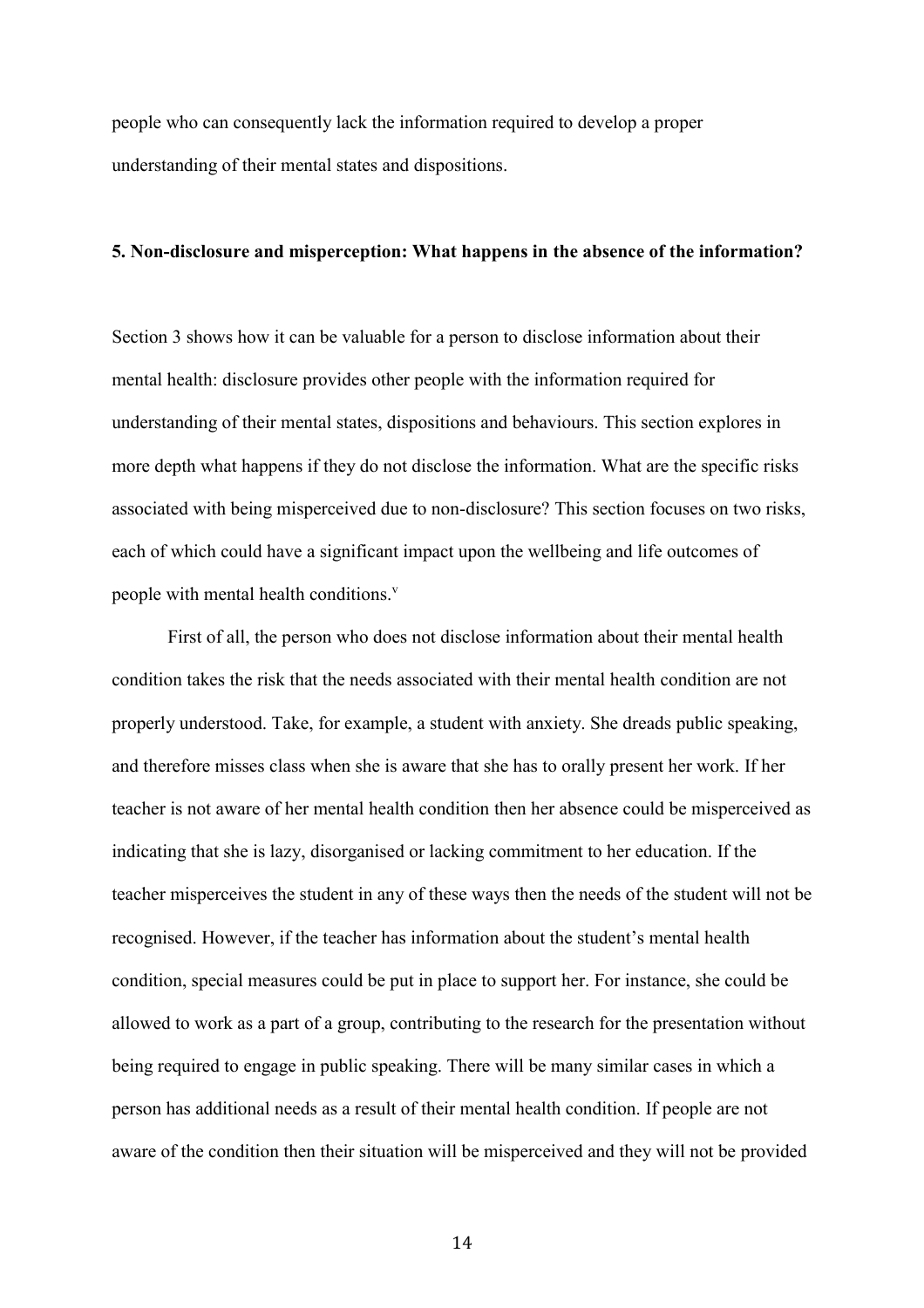people who can consequently lack the information required to develop a proper understanding of their mental states and dispositions.

#### **5. Non-disclosure and misperception: What happens in the absence of the information?**

Section 3 shows how it can be valuable for a person to disclose information about their mental health: disclosure provides other people with the information required for understanding of their mental states, dispositions and behaviours. This section explores in more depth what happens if they do not disclose the information. What are the specific risks associated with being misperceived due to non-disclosure? This section focuses on two risks, each of which could have a significant impact upon the wellbeing and life outcomes of people with mental health conditions. $v$ 

First of all, the person who does not disclose information about their mental health condition takes the risk that the needs associated with their mental health condition are not properly understood. Take, for example, a student with anxiety. She dreads public speaking, and therefore misses class when she is aware that she has to orally present her work. If her teacher is not aware of her mental health condition then her absence could be misperceived as indicating that she is lazy, disorganised or lacking commitment to her education. If the teacher misperceives the student in any of these ways then the needs of the student will not be recognised. However, if the teacher has information about the student's mental health condition, special measures could be put in place to support her. For instance, she could be allowed to work as a part of a group, contributing to the research for the presentation without being required to engage in public speaking. There will be many similar cases in which a person has additional needs as a result of their mental health condition. If people are not aware of the condition then their situation will be misperceived and they will not be provided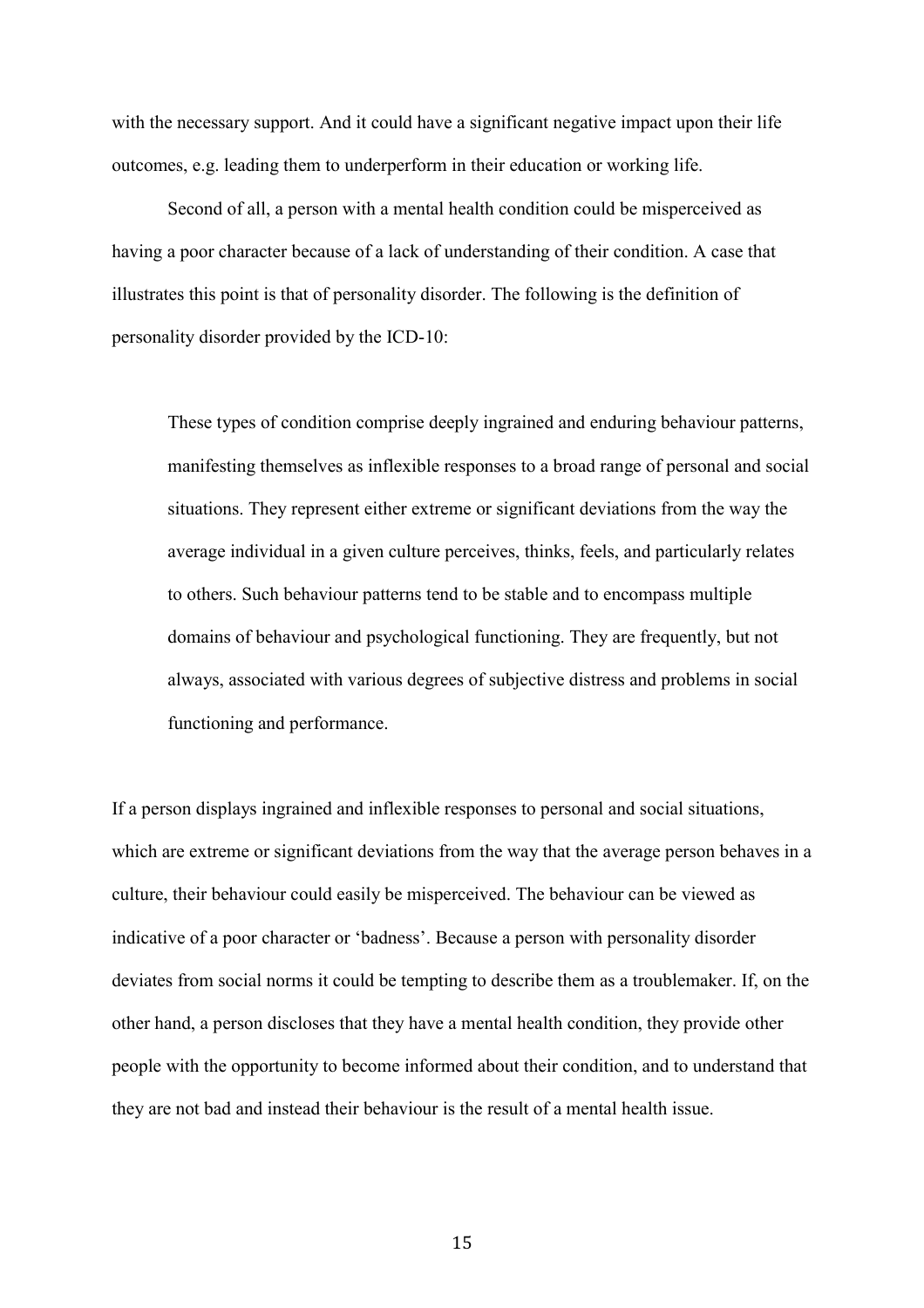with the necessary support. And it could have a significant negative impact upon their life outcomes, e.g. leading them to underperform in their education or working life.

Second of all, a person with a mental health condition could be misperceived as having a poor character because of a lack of understanding of their condition. A case that illustrates this point is that of personality disorder. The following is the definition of personality disorder provided by the ICD-10:

These types of condition comprise deeply ingrained and enduring behaviour patterns, manifesting themselves as inflexible responses to a broad range of personal and social situations. They represent either extreme or significant deviations from the way the average individual in a given culture perceives, thinks, feels, and particularly relates to others. Such behaviour patterns tend to be stable and to encompass multiple domains of behaviour and psychological functioning. They are frequently, but not always, associated with various degrees of subjective distress and problems in social functioning and performance.

If a person displays ingrained and inflexible responses to personal and social situations, which are extreme or significant deviations from the way that the average person behaves in a culture, their behaviour could easily be misperceived. The behaviour can be viewed as indicative of a poor character or 'badness'. Because a person with personality disorder deviates from social norms it could be tempting to describe them as a troublemaker. If, on the other hand, a person discloses that they have a mental health condition, they provide other people with the opportunity to become informed about their condition, and to understand that they are not bad and instead their behaviour is the result of a mental health issue.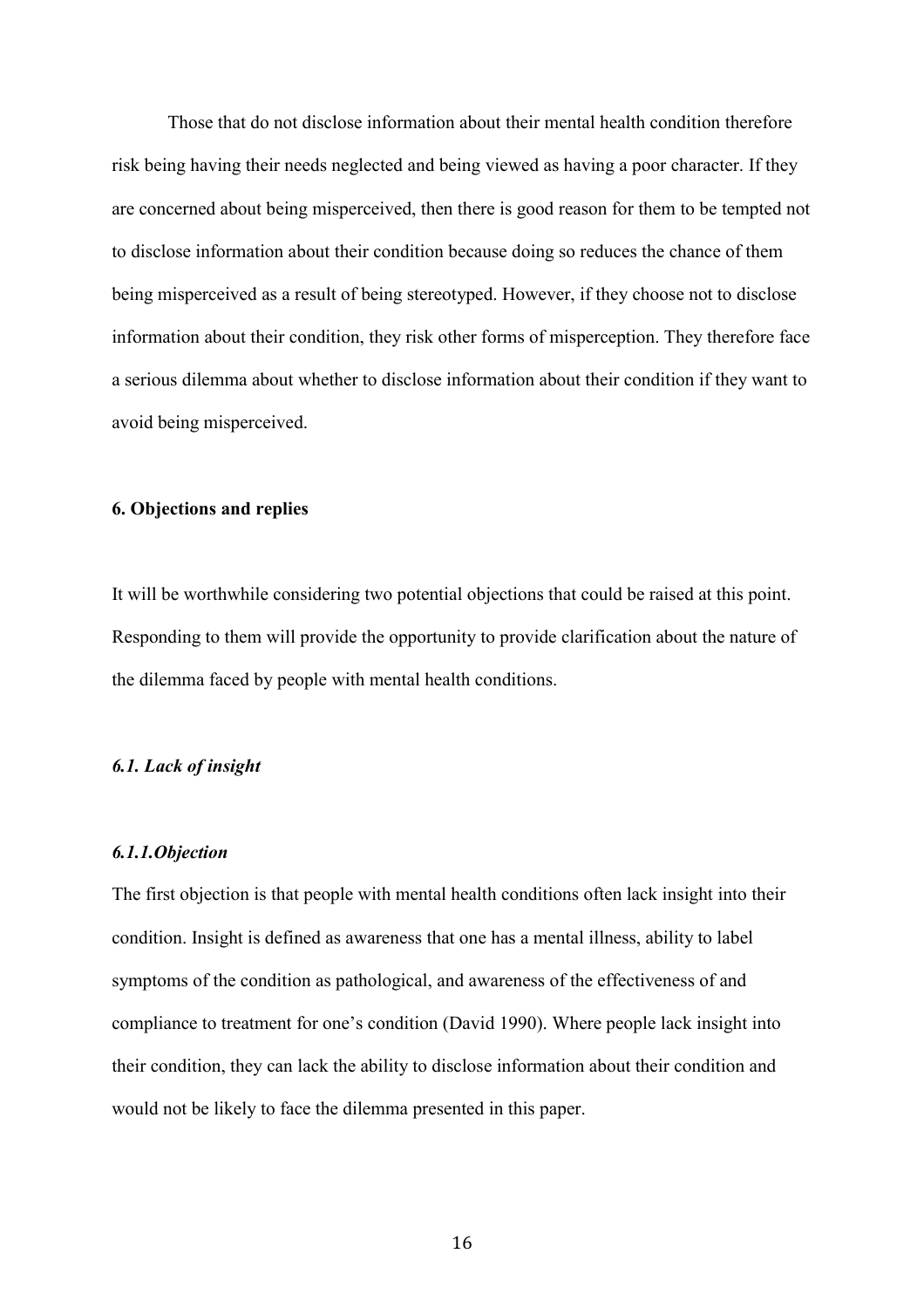Those that do not disclose information about their mental health condition therefore risk being having their needs neglected and being viewed as having a poor character. If they are concerned about being misperceived, then there is good reason for them to be tempted not to disclose information about their condition because doing so reduces the chance of them being misperceived as a result of being stereotyped. However, if they choose not to disclose information about their condition, they risk other forms of misperception. They therefore face a serious dilemma about whether to disclose information about their condition if they want to avoid being misperceived.

#### **6. Objections and replies**

It will be worthwhile considering two potential objections that could be raised at this point. Responding to them will provide the opportunity to provide clarification about the nature of the dilemma faced by people with mental health conditions.

### *6.1. Lack of insight*

#### *6.1.1.Objection*

The first objection is that people with mental health conditions often lack insight into their condition. Insight is defined as awareness that one has a mental illness, ability to label symptoms of the condition as pathological, and awareness of the effectiveness of and compliance to treatment for one's condition (David 1990). Where people lack insight into their condition, they can lack the ability to disclose information about their condition and would not be likely to face the dilemma presented in this paper.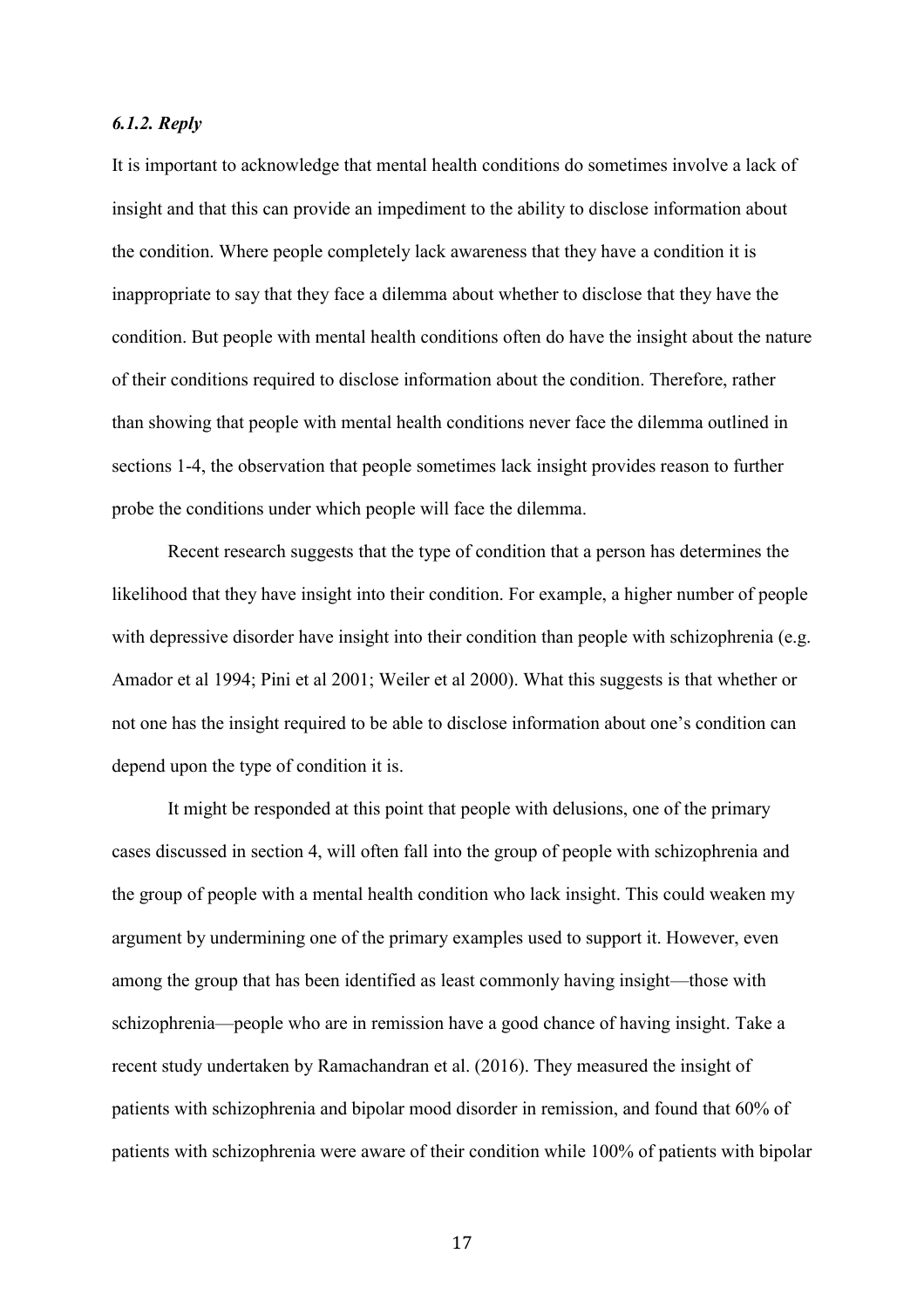### *6.1.2. Reply*

It is important to acknowledge that mental health conditions do sometimes involve a lack of insight and that this can provide an impediment to the ability to disclose information about the condition. Where people completely lack awareness that they have a condition it is inappropriate to say that they face a dilemma about whether to disclose that they have the condition. But people with mental health conditions often do have the insight about the nature of their conditions required to disclose information about the condition. Therefore, rather than showing that people with mental health conditions never face the dilemma outlined in sections 1-4, the observation that people sometimes lack insight provides reason to further probe the conditions under which people will face the dilemma.

Recent research suggests that the type of condition that a person has determines the likelihood that they have insight into their condition. For example, a higher number of people with depressive disorder have insight into their condition than people with schizophrenia (e.g. Amador et al 1994; Pini et al 2001; Weiler et al 2000). What this suggests is that whether or not one has the insight required to be able to disclose information about one's condition can depend upon the type of condition it is.

It might be responded at this point that people with delusions, one of the primary cases discussed in section 4, will often fall into the group of people with schizophrenia and the group of people with a mental health condition who lack insight. This could weaken my argument by undermining one of the primary examples used to support it. However, even among the group that has been identified as least commonly having insight—those with schizophrenia—people who are in remission have a good chance of having insight. Take a recent study undertaken by Ramachandran et al. (2016). They measured the insight of patients with schizophrenia and bipolar mood disorder in remission, and found that 60% of patients with schizophrenia were aware of their condition while 100% of patients with bipolar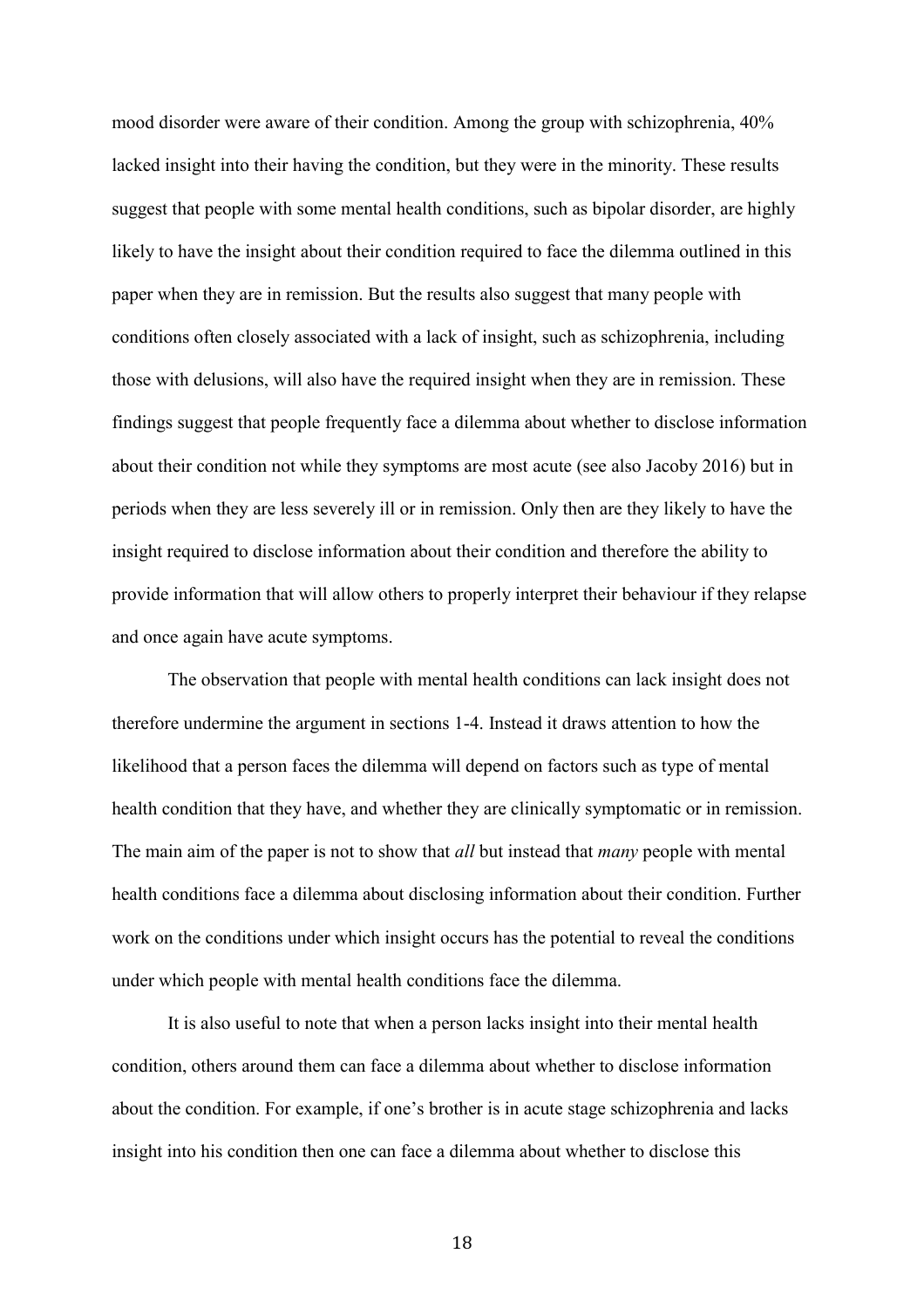mood disorder were aware of their condition. Among the group with schizophrenia, 40% lacked insight into their having the condition, but they were in the minority. These results suggest that people with some mental health conditions, such as bipolar disorder, are highly likely to have the insight about their condition required to face the dilemma outlined in this paper when they are in remission. But the results also suggest that many people with conditions often closely associated with a lack of insight, such as schizophrenia, including those with delusions, will also have the required insight when they are in remission. These findings suggest that people frequently face a dilemma about whether to disclose information about their condition not while they symptoms are most acute (see also Jacoby 2016) but in periods when they are less severely ill or in remission. Only then are they likely to have the insight required to disclose information about their condition and therefore the ability to provide information that will allow others to properly interpret their behaviour if they relapse and once again have acute symptoms.

The observation that people with mental health conditions can lack insight does not therefore undermine the argument in sections 1-4. Instead it draws attention to how the likelihood that a person faces the dilemma will depend on factors such as type of mental health condition that they have, and whether they are clinically symptomatic or in remission. The main aim of the paper is not to show that *all* but instead that *many* people with mental health conditions face a dilemma about disclosing information about their condition. Further work on the conditions under which insight occurs has the potential to reveal the conditions under which people with mental health conditions face the dilemma.

It is also useful to note that when a person lacks insight into their mental health condition, others around them can face a dilemma about whether to disclose information about the condition. For example, if one's brother is in acute stage schizophrenia and lacks insight into his condition then one can face a dilemma about whether to disclose this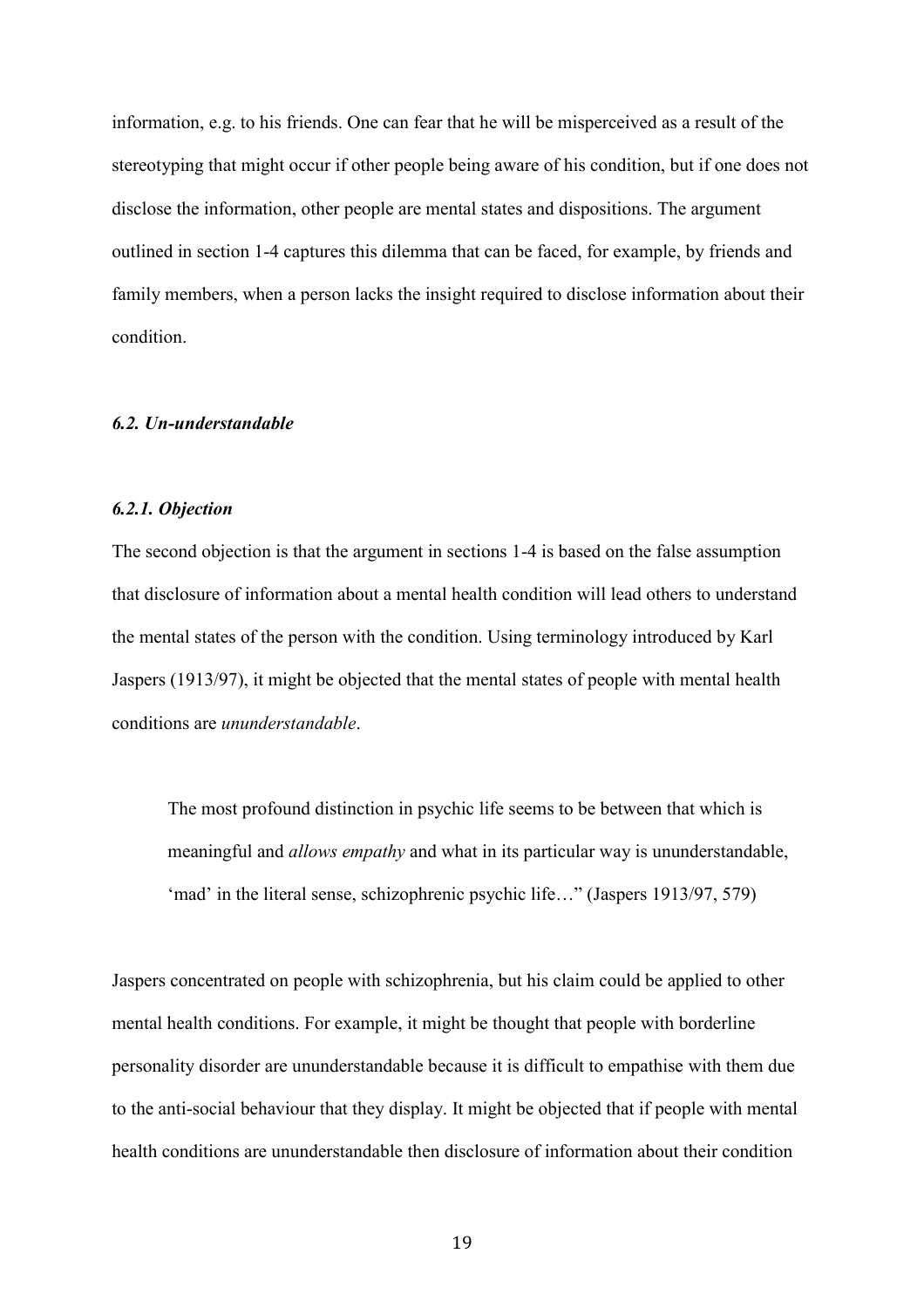information, e.g. to his friends. One can fear that he will be misperceived as a result of the stereotyping that might occur if other people being aware of his condition, but if one does not disclose the information, other people are mental states and dispositions. The argument outlined in section 1-4 captures this dilemma that can be faced, for example, by friends and family members, when a person lacks the insight required to disclose information about their condition.

#### *6.2. Un-understandable*

#### *6.2.1. Objection*

The second objection is that the argument in sections 1-4 is based on the false assumption that disclosure of information about a mental health condition will lead others to understand the mental states of the person with the condition. Using terminology introduced by Karl Jaspers (1913/97), it might be objected that the mental states of people with mental health conditions are *ununderstandable*.

The most profound distinction in psychic life seems to be between that which is meaningful and *allows empathy* and what in its particular way is ununderstandable, 'mad' in the literal sense, schizophrenic psychic life…" (Jaspers 1913/97, 579)

Jaspers concentrated on people with schizophrenia, but his claim could be applied to other mental health conditions. For example, it might be thought that people with borderline personality disorder are ununderstandable because it is difficult to empathise with them due to the anti-social behaviour that they display. It might be objected that if people with mental health conditions are ununderstandable then disclosure of information about their condition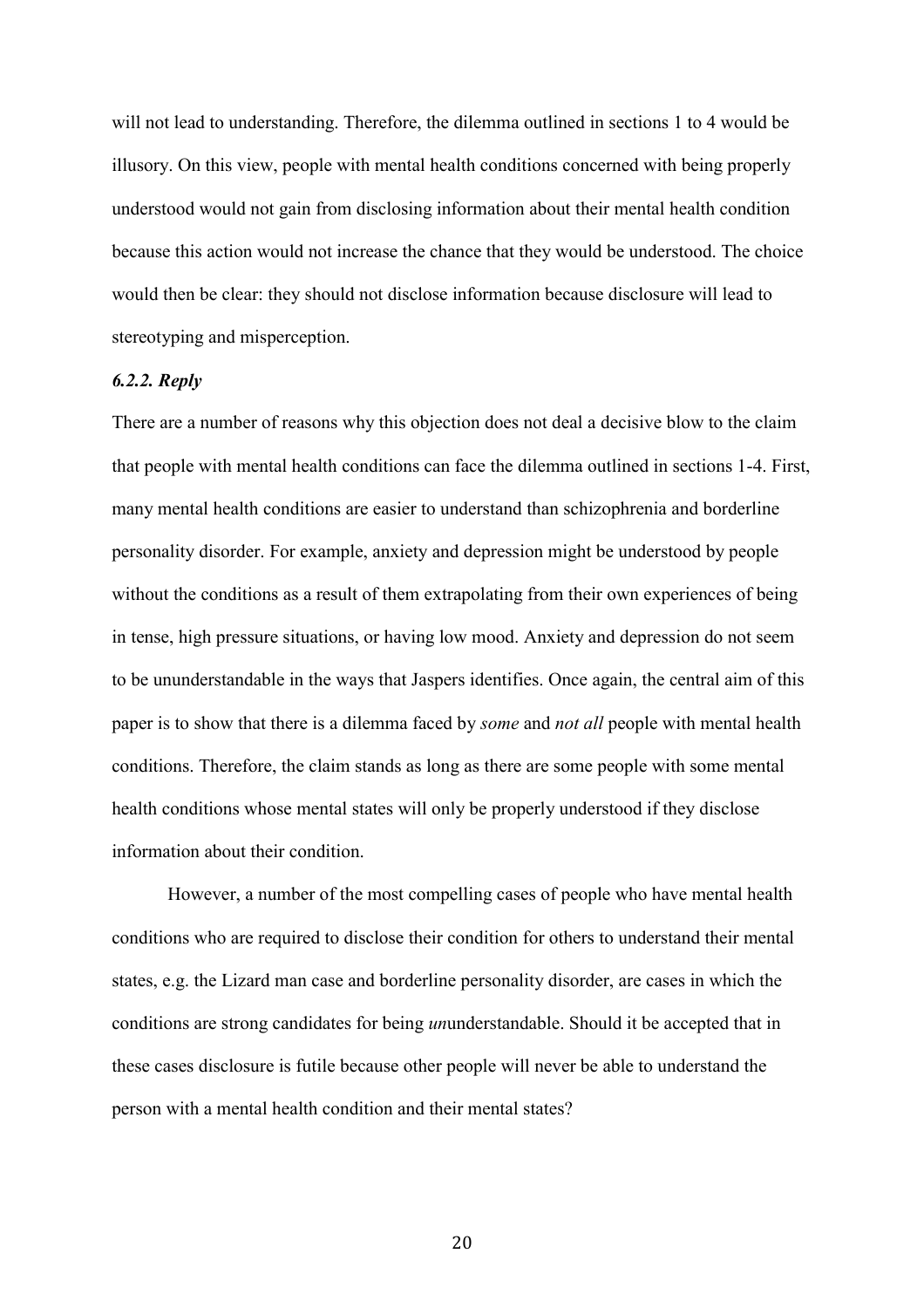will not lead to understanding. Therefore, the dilemma outlined in sections 1 to 4 would be illusory. On this view, people with mental health conditions concerned with being properly understood would not gain from disclosing information about their mental health condition because this action would not increase the chance that they would be understood. The choice would then be clear: they should not disclose information because disclosure will lead to stereotyping and misperception.

#### *6.2.2. Reply*

There are a number of reasons why this objection does not deal a decisive blow to the claim that people with mental health conditions can face the dilemma outlined in sections 1-4. First, many mental health conditions are easier to understand than schizophrenia and borderline personality disorder. For example, anxiety and depression might be understood by people without the conditions as a result of them extrapolating from their own experiences of being in tense, high pressure situations, or having low mood. Anxiety and depression do not seem to be ununderstandable in the ways that Jaspers identifies. Once again, the central aim of this paper is to show that there is a dilemma faced by *some* and *not all* people with mental health conditions. Therefore, the claim stands as long as there are some people with some mental health conditions whose mental states will only be properly understood if they disclose information about their condition.

However, a number of the most compelling cases of people who have mental health conditions who are required to disclose their condition for others to understand their mental states, e.g. the Lizard man case and borderline personality disorder, are cases in which the conditions are strong candidates for being *un*understandable. Should it be accepted that in these cases disclosure is futile because other people will never be able to understand the person with a mental health condition and their mental states?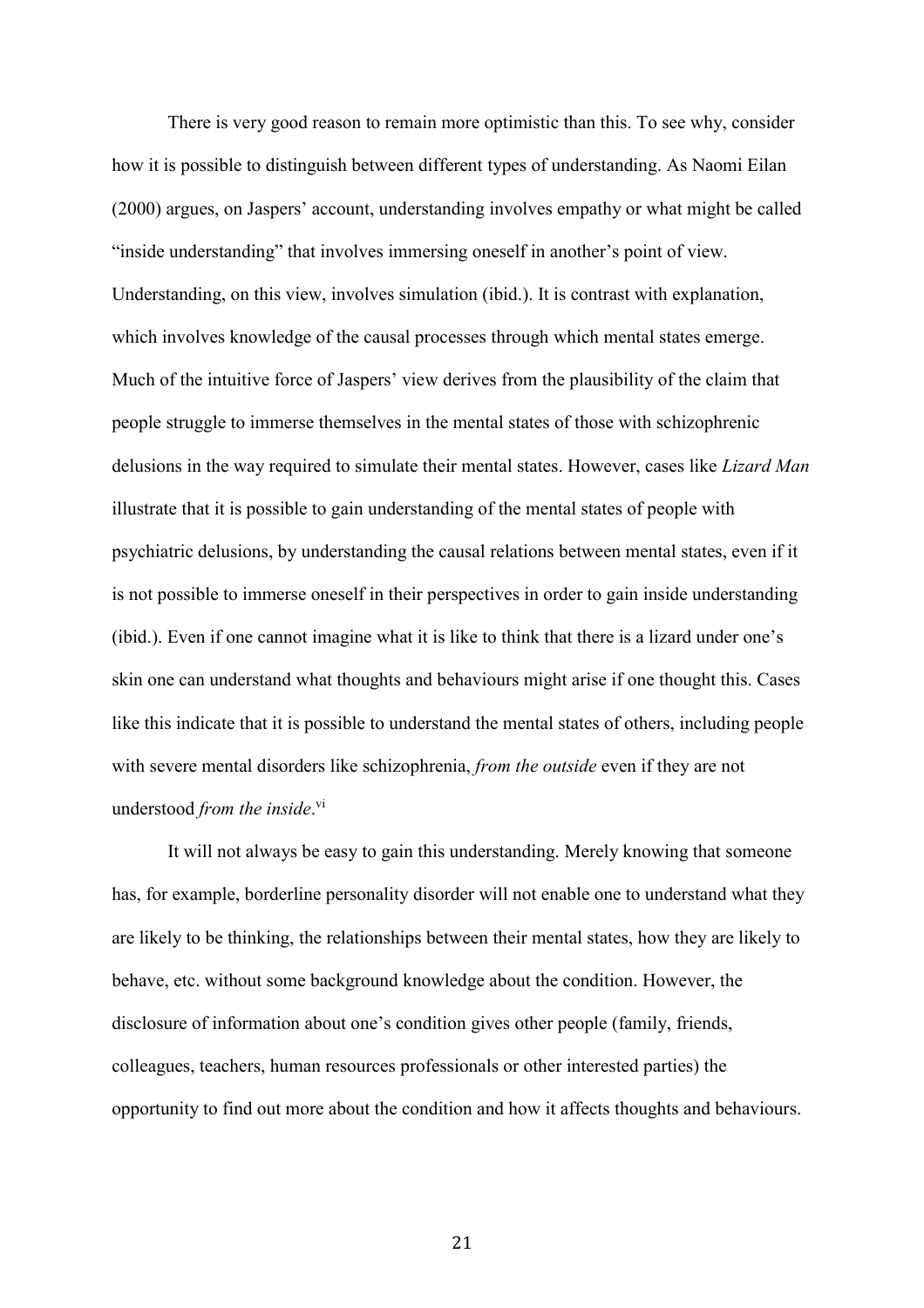There is very good reason to remain more optimistic than this. To see why, consider how it is possible to distinguish between different types of understanding. As Naomi Eilan (2000) argues, on Jaspers' account, understanding involves empathy or what might be called "inside understanding" that involves immersing oneself in another's point of view. Understanding, on this view, involves simulation (ibid.). It is contrast with explanation, which involves knowledge of the causal processes through which mental states emerge. Much of the intuitive force of Jaspers' view derives from the plausibility of the claim that people struggle to immerse themselves in the mental states of those with schizophrenic delusions in the way required to simulate their mental states. However, cases like *Lizard Man*  illustrate that it is possible to gain understanding of the mental states of people with psychiatric delusions, by understanding the causal relations between mental states, even if it is not possible to immerse oneself in their perspectives in order to gain inside understanding (ibid.). Even if one cannot imagine what it is like to think that there is a lizard under one's skin one can understand what thoughts and behaviours might arise if one thought this. Cases like this indicate that it is possible to understand the mental states of others, including people with severe mental disorders like schizophrenia, *from the outside* even if they are not understood *from the inside*. vi

It will not always be easy to gain this understanding. Merely knowing that someone has, for example, borderline personality disorder will not enable one to understand what they are likely to be thinking, the relationships between their mental states, how they are likely to behave, etc. without some background knowledge about the condition. However, the disclosure of information about one's condition gives other people (family, friends, colleagues, teachers, human resources professionals or other interested parties) the opportunity to find out more about the condition and how it affects thoughts and behaviours.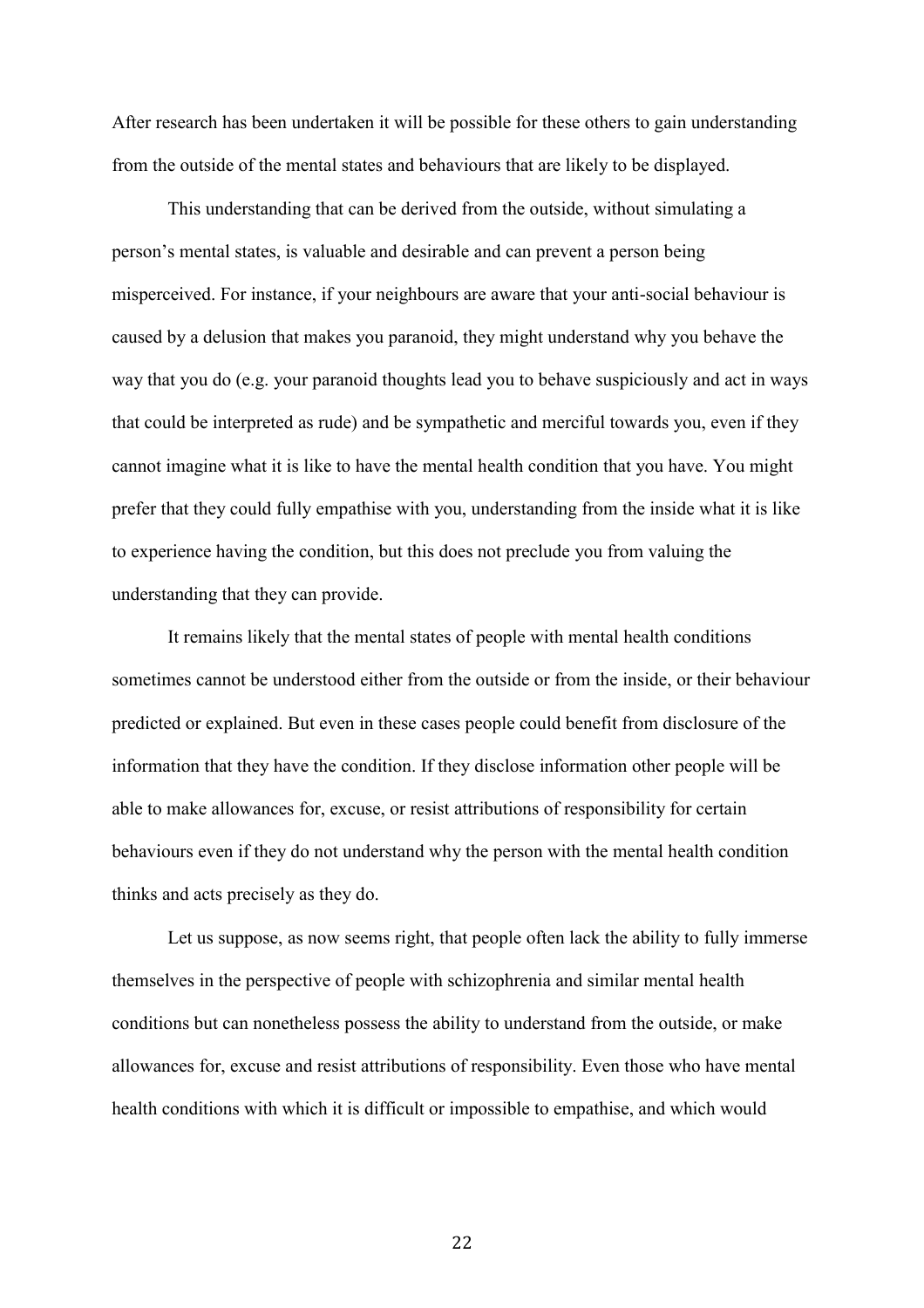After research has been undertaken it will be possible for these others to gain understanding from the outside of the mental states and behaviours that are likely to be displayed.

This understanding that can be derived from the outside, without simulating a person's mental states, is valuable and desirable and can prevent a person being misperceived. For instance, if your neighbours are aware that your anti-social behaviour is caused by a delusion that makes you paranoid, they might understand why you behave the way that you do (e.g. your paranoid thoughts lead you to behave suspiciously and act in ways that could be interpreted as rude) and be sympathetic and merciful towards you, even if they cannot imagine what it is like to have the mental health condition that you have. You might prefer that they could fully empathise with you, understanding from the inside what it is like to experience having the condition, but this does not preclude you from valuing the understanding that they can provide.

It remains likely that the mental states of people with mental health conditions sometimes cannot be understood either from the outside or from the inside, or their behaviour predicted or explained. But even in these cases people could benefit from disclosure of the information that they have the condition. If they disclose information other people will be able to make allowances for, excuse, or resist attributions of responsibility for certain behaviours even if they do not understand why the person with the mental health condition thinks and acts precisely as they do.

Let us suppose, as now seems right, that people often lack the ability to fully immerse themselves in the perspective of people with schizophrenia and similar mental health conditions but can nonetheless possess the ability to understand from the outside, or make allowances for, excuse and resist attributions of responsibility. Even those who have mental health conditions with which it is difficult or impossible to empathise, and which would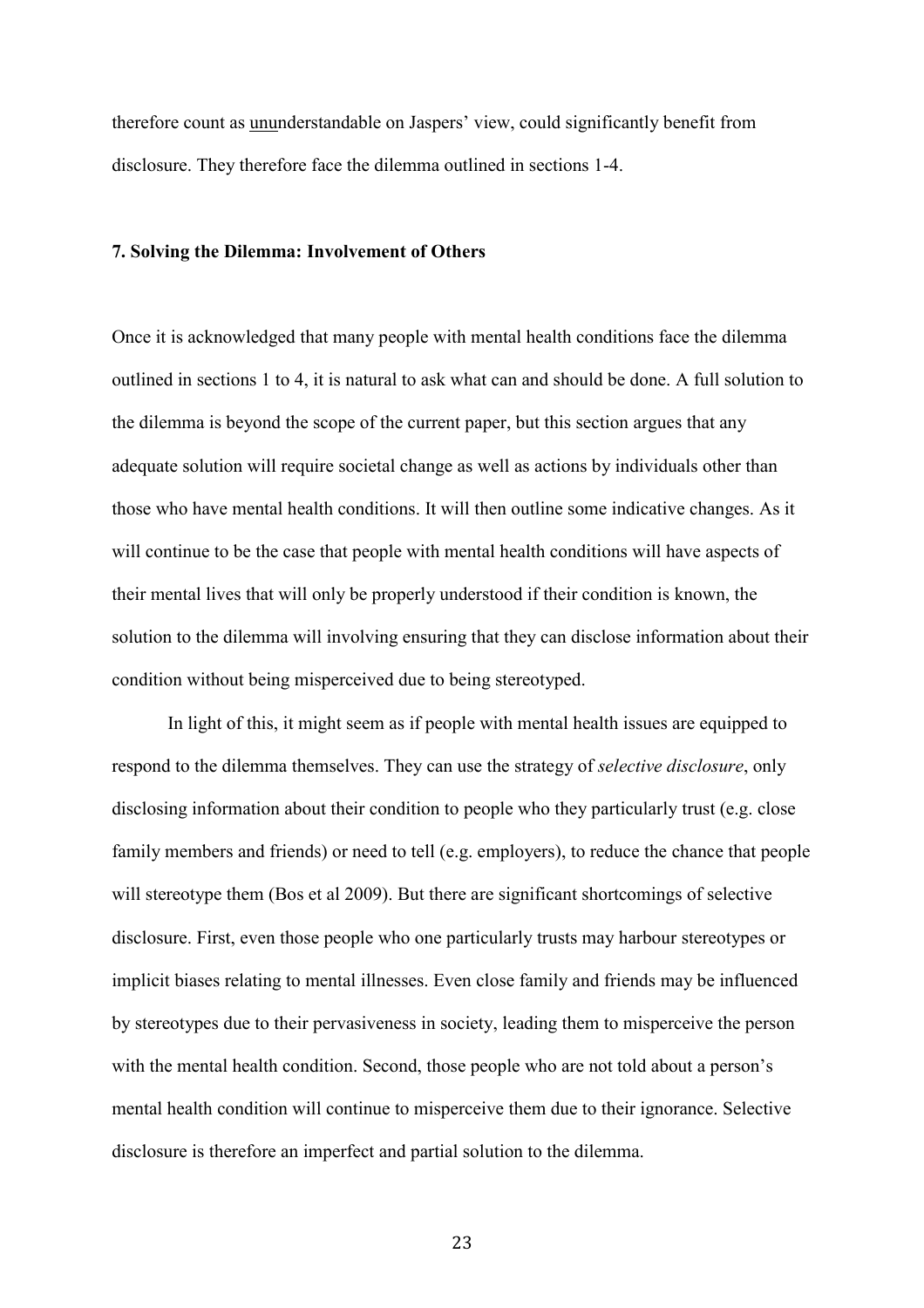therefore count as ununderstandable on Jaspers' view, could significantly benefit from disclosure. They therefore face the dilemma outlined in sections 1-4.

#### **7. Solving the Dilemma: Involvement of Others**

Once it is acknowledged that many people with mental health conditions face the dilemma outlined in sections 1 to 4, it is natural to ask what can and should be done. A full solution to the dilemma is beyond the scope of the current paper, but this section argues that any adequate solution will require societal change as well as actions by individuals other than those who have mental health conditions. It will then outline some indicative changes. As it will continue to be the case that people with mental health conditions will have aspects of their mental lives that will only be properly understood if their condition is known, the solution to the dilemma will involving ensuring that they can disclose information about their condition without being misperceived due to being stereotyped.

In light of this, it might seem as if people with mental health issues are equipped to respond to the dilemma themselves. They can use the strategy of *selective disclosure*, only disclosing information about their condition to people who they particularly trust (e.g. close family members and friends) or need to tell (e.g. employers), to reduce the chance that people will stereotype them (Bos et al 2009). But there are significant shortcomings of selective disclosure. First, even those people who one particularly trusts may harbour stereotypes or implicit biases relating to mental illnesses. Even close family and friends may be influenced by stereotypes due to their pervasiveness in society, leading them to misperceive the person with the mental health condition. Second, those people who are not told about a person's mental health condition will continue to misperceive them due to their ignorance. Selective disclosure is therefore an imperfect and partial solution to the dilemma.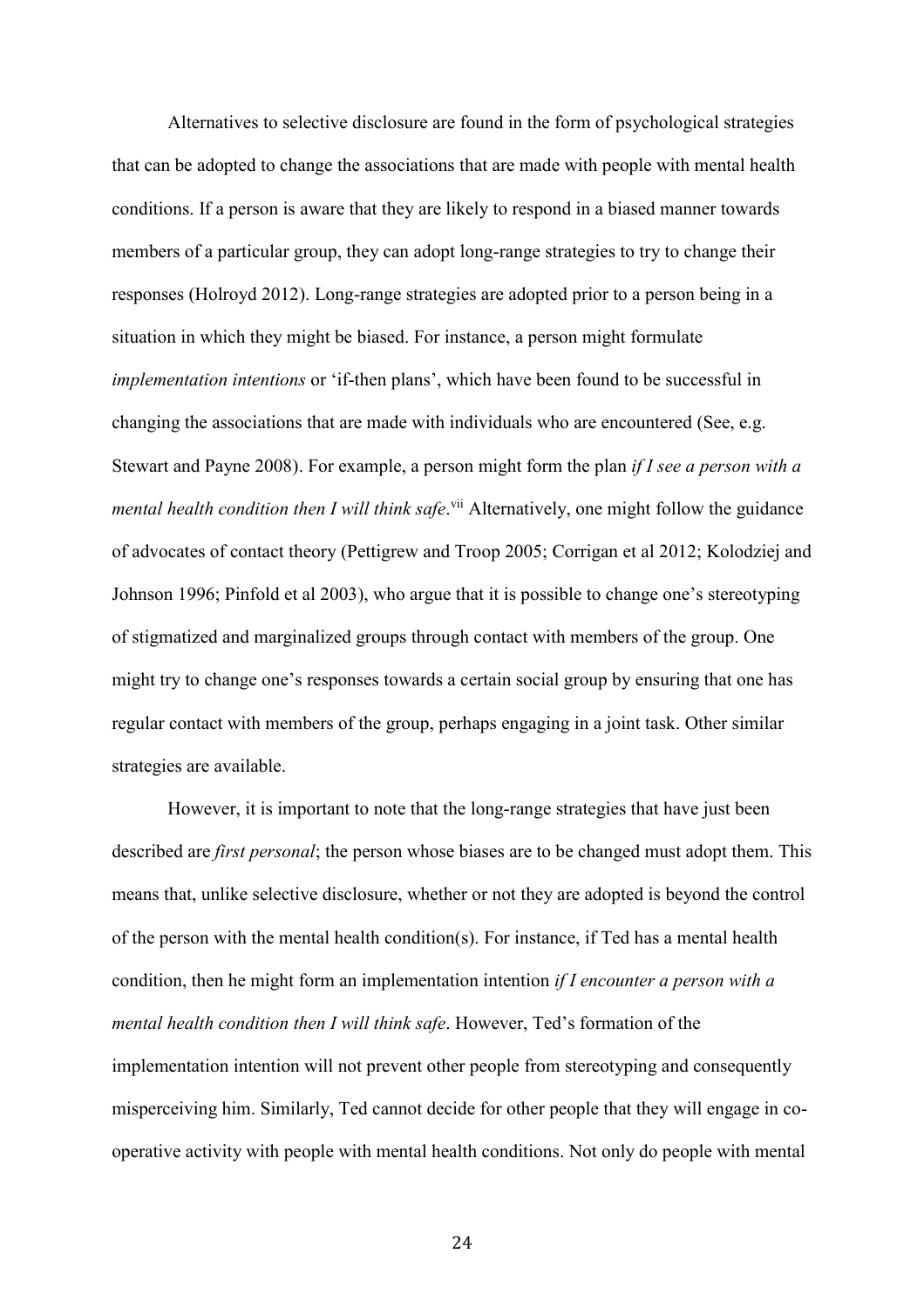Alternatives to selective disclosure are found in the form of psychological strategies that can be adopted to change the associations that are made with people with mental health conditions. If a person is aware that they are likely to respond in a biased manner towards members of a particular group, they can adopt long-range strategies to try to change their responses (Holroyd 2012). Long-range strategies are adopted prior to a person being in a situation in which they might be biased. For instance, a person might formulate *implementation intentions* or 'if-then plans', which have been found to be successful in changing the associations that are made with individuals who are encountered (See, e.g. Stewart and Payne 2008). For example, a person might form the plan *if I see a person with a*  mental health condition then I will think safe.<sup>vii</sup> Alternatively, one might follow the guidance of advocates of contact theory (Pettigrew and Troop 2005; Corrigan et al 2012; Kolodziej and Johnson 1996; Pinfold et al 2003), who argue that it is possible to change one's stereotyping of stigmatized and marginalized groups through contact with members of the group. One might try to change one's responses towards a certain social group by ensuring that one has regular contact with members of the group, perhaps engaging in a joint task. Other similar strategies are available.

However, it is important to note that the long-range strategies that have just been described are *first personal*; the person whose biases are to be changed must adopt them. This means that, unlike selective disclosure, whether or not they are adopted is beyond the control of the person with the mental health condition(s). For instance, if Ted has a mental health condition, then he might form an implementation intention *if I encounter a person with a mental health condition then I will think safe*. However, Ted's formation of the implementation intention will not prevent other people from stereotyping and consequently misperceiving him. Similarly, Ted cannot decide for other people that they will engage in cooperative activity with people with mental health conditions. Not only do people with mental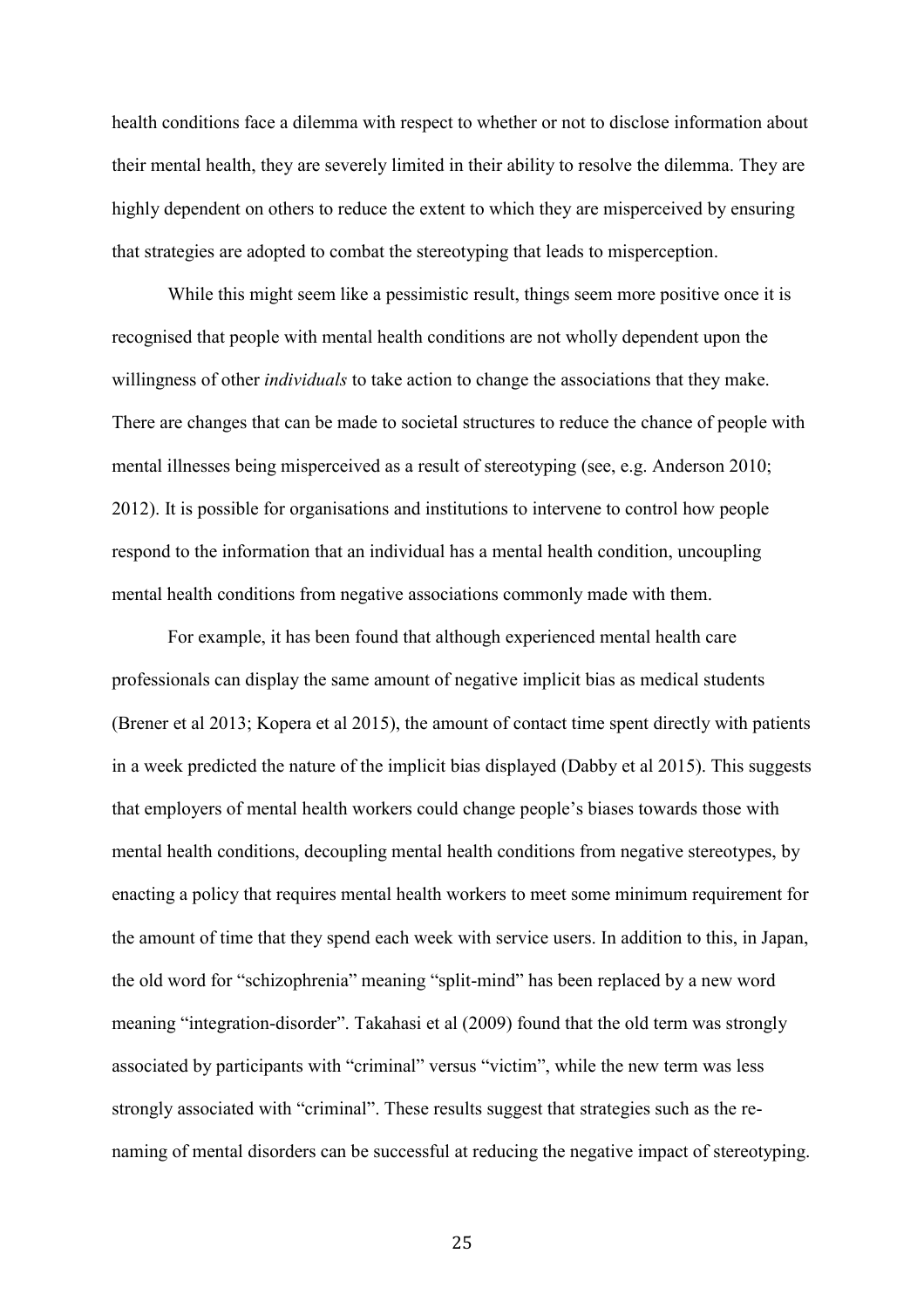health conditions face a dilemma with respect to whether or not to disclose information about their mental health, they are severely limited in their ability to resolve the dilemma. They are highly dependent on others to reduce the extent to which they are misperceived by ensuring that strategies are adopted to combat the stereotyping that leads to misperception.

While this might seem like a pessimistic result, things seem more positive once it is recognised that people with mental health conditions are not wholly dependent upon the willingness of other *individuals* to take action to change the associations that they make. There are changes that can be made to societal structures to reduce the chance of people with mental illnesses being misperceived as a result of stereotyping (see, e.g. Anderson 2010; 2012). It is possible for organisations and institutions to intervene to control how people respond to the information that an individual has a mental health condition, uncoupling mental health conditions from negative associations commonly made with them.

For example, it has been found that although experienced mental health care professionals can display the same amount of negative implicit bias as medical students (Brener et al 2013; Kopera et al 2015), the amount of contact time spent directly with patients in a week predicted the nature of the implicit bias displayed (Dabby et al 2015). This suggests that employers of mental health workers could change people's biases towards those with mental health conditions, decoupling mental health conditions from negative stereotypes, by enacting a policy that requires mental health workers to meet some minimum requirement for the amount of time that they spend each week with service users. In addition to this, in Japan, the old word for "schizophrenia" meaning "split-mind" has been replaced by a new word meaning "integration-disorder". Takahasi et al (2009) found that the old term was strongly associated by participants with "criminal" versus "victim", while the new term was less strongly associated with "criminal". These results suggest that strategies such as the renaming of mental disorders can be successful at reducing the negative impact of stereotyping.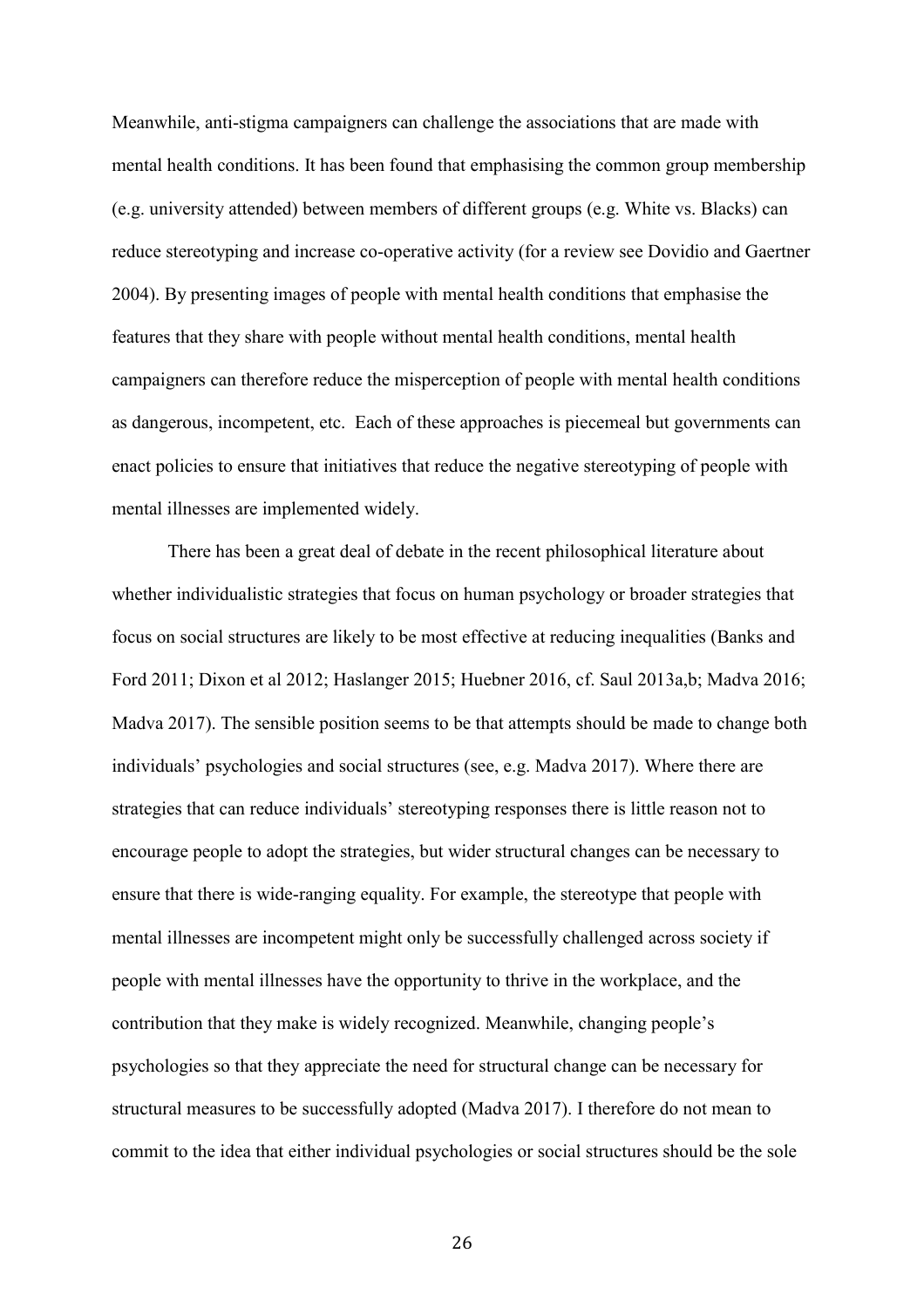Meanwhile, anti-stigma campaigners can challenge the associations that are made with mental health conditions. It has been found that emphasising the common group membership (e.g. university attended) between members of different groups (e.g. White vs. Blacks) can reduce stereotyping and increase co-operative activity (for a review see Dovidio and Gaertner 2004). By presenting images of people with mental health conditions that emphasise the features that they share with people without mental health conditions, mental health campaigners can therefore reduce the misperception of people with mental health conditions as dangerous, incompetent, etc. Each of these approaches is piecemeal but governments can enact policies to ensure that initiatives that reduce the negative stereotyping of people with mental illnesses are implemented widely.

There has been a great deal of debate in the recent philosophical literature about whether individualistic strategies that focus on human psychology or broader strategies that focus on social structures are likely to be most effective at reducing inequalities (Banks and Ford 2011; Dixon et al 2012; Haslanger 2015; Huebner 2016, cf. Saul 2013a,b; Madva 2016; Madva 2017). The sensible position seems to be that attempts should be made to change both individuals' psychologies and social structures (see, e.g. Madva 2017). Where there are strategies that can reduce individuals' stereotyping responses there is little reason not to encourage people to adopt the strategies, but wider structural changes can be necessary to ensure that there is wide-ranging equality. For example, the stereotype that people with mental illnesses are incompetent might only be successfully challenged across society if people with mental illnesses have the opportunity to thrive in the workplace, and the contribution that they make is widely recognized. Meanwhile, changing people's psychologies so that they appreciate the need for structural change can be necessary for structural measures to be successfully adopted (Madva 2017). I therefore do not mean to commit to the idea that either individual psychologies or social structures should be the sole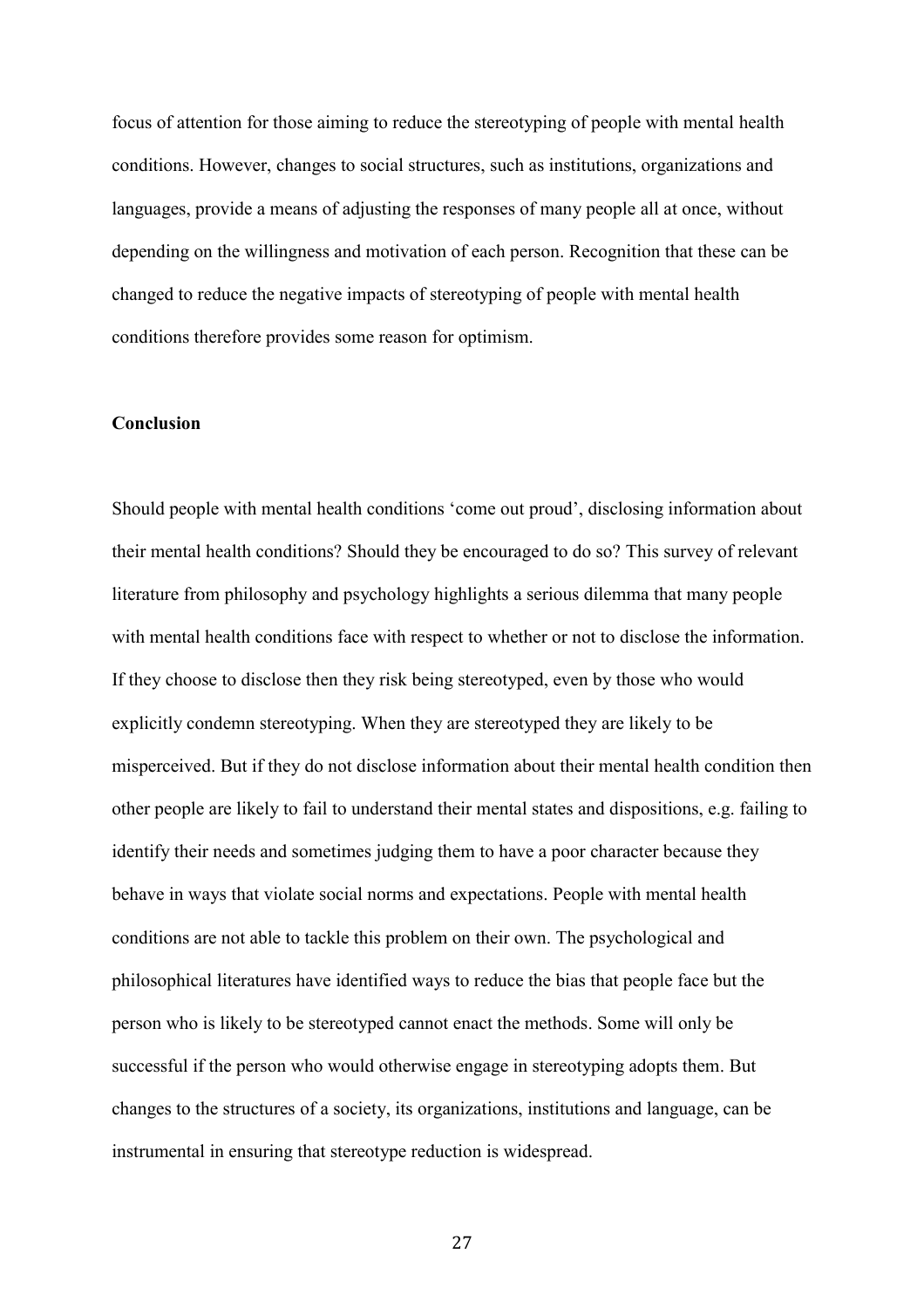focus of attention for those aiming to reduce the stereotyping of people with mental health conditions. However, changes to social structures, such as institutions, organizations and languages, provide a means of adjusting the responses of many people all at once, without depending on the willingness and motivation of each person. Recognition that these can be changed to reduce the negative impacts of stereotyping of people with mental health conditions therefore provides some reason for optimism.

### **Conclusion**

Should people with mental health conditions 'come out proud', disclosing information about their mental health conditions? Should they be encouraged to do so? This survey of relevant literature from philosophy and psychology highlights a serious dilemma that many people with mental health conditions face with respect to whether or not to disclose the information. If they choose to disclose then they risk being stereotyped, even by those who would explicitly condemn stereotyping. When they are stereotyped they are likely to be misperceived. But if they do not disclose information about their mental health condition then other people are likely to fail to understand their mental states and dispositions, e.g. failing to identify their needs and sometimes judging them to have a poor character because they behave in ways that violate social norms and expectations. People with mental health conditions are not able to tackle this problem on their own. The psychological and philosophical literatures have identified ways to reduce the bias that people face but the person who is likely to be stereotyped cannot enact the methods. Some will only be successful if the person who would otherwise engage in stereotyping adopts them. But changes to the structures of a society, its organizations, institutions and language, can be instrumental in ensuring that stereotype reduction is widespread.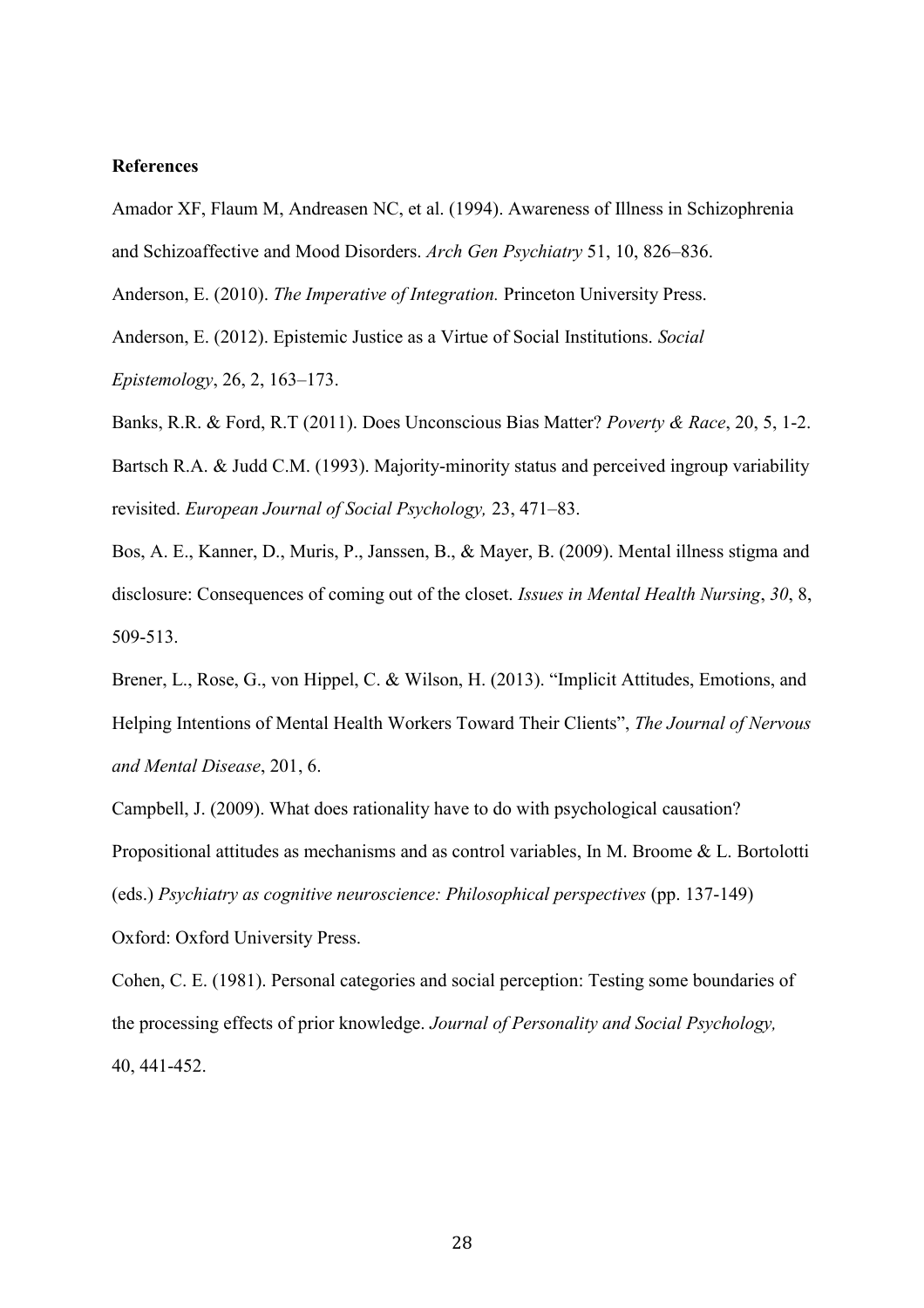#### **References**

Amador XF, Flaum M, Andreasen NC, et al. (1994). Awareness of Illness in Schizophrenia and Schizoaffective and Mood Disorders. *Arch Gen Psychiatry* 51, 10, 826–836.

Anderson, E. (2010). *The Imperative of Integration.* Princeton University Press.

Anderson, E. (2012). Epistemic Justice as a Virtue of Social Institutions. *Social* 

*Epistemology*, 26, 2, 163–173.

Banks, R.R. & Ford, R.T (2011). Does Unconscious Bias Matter? *Poverty & Race*, 20, 5, 1-2. Bartsch R.A. & Judd C.M. (1993). Majority-minority status and perceived ingroup variability revisited. *European Journal of Social Psychology,* 23, 471–83.

Bos, A. E., Kanner, D., Muris, P., Janssen, B., & Mayer, B. (2009). Mental illness stigma and disclosure: Consequences of coming out of the closet. *Issues in Mental Health Nursing*, *30*, 8, 509-513.

Brener, L., Rose, G., von Hippel, C. & Wilson, H. (2013). "Implicit Attitudes, Emotions, and Helping Intentions of Mental Health Workers Toward Their Clients", *The Journal of Nervous and Mental Disease*, 201, 6.

Campbell, J. (2009). What does rationality have to do with psychological causation? Propositional attitudes as mechanisms and as control variables, In M. Broome & L. Bortolotti (eds.) *Psychiatry as cognitive neuroscience: Philosophical perspectives* (pp. 137-149) Oxford: Oxford University Press.

Cohen, C. E. (1981). Personal categories and social perception: Testing some boundaries of the processing effects of prior knowledge. *Journal of Personality and Social Psychology,*  40, 441-452.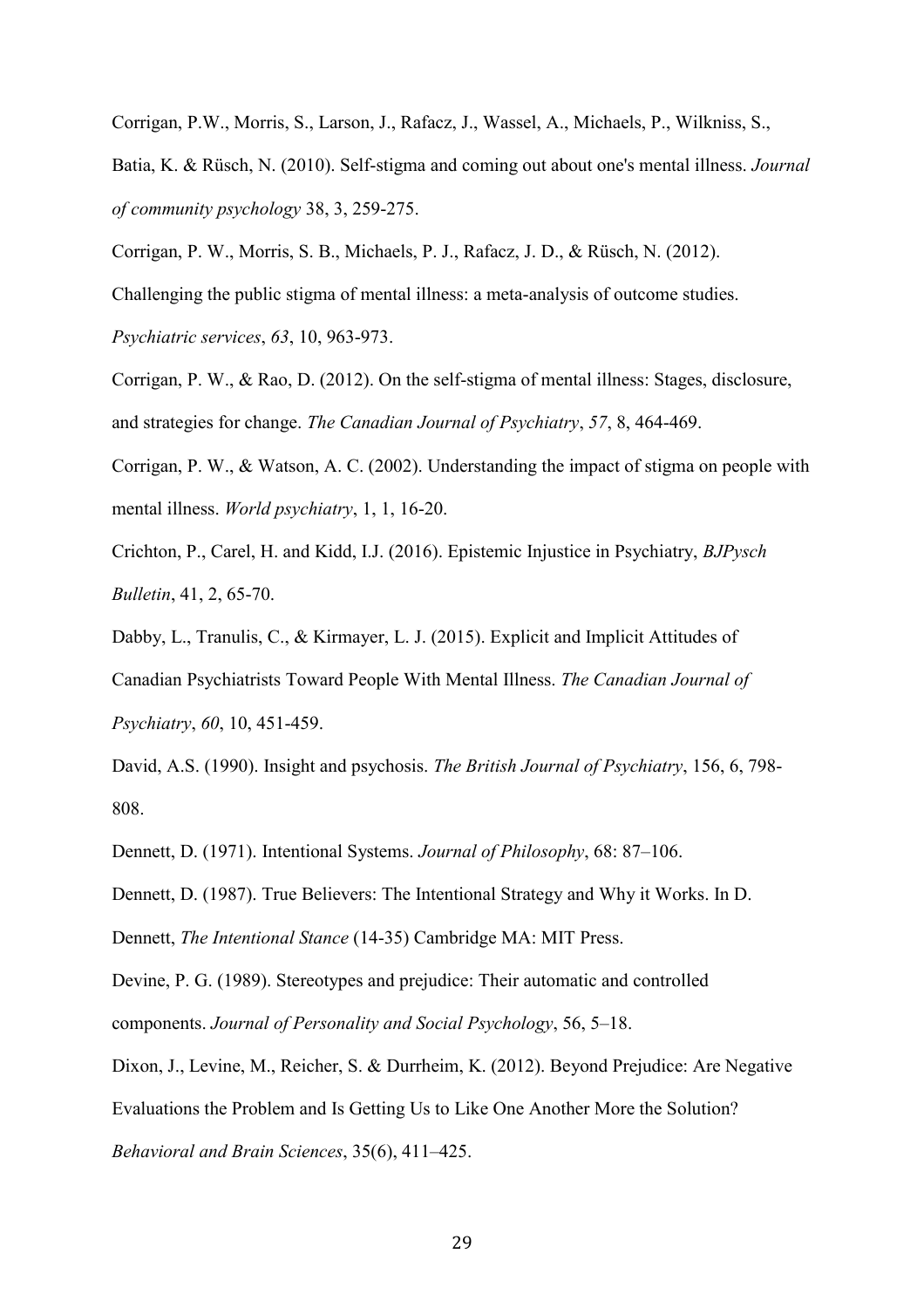Corrigan, P.W., Morris, S., Larson, J., Rafacz, J., Wassel, A., Michaels, P., Wilkniss, S.,

Batia, K. & Rüsch, N. (2010). Self‐stigma and coming out about one's mental illness. *Journal of community psychology* 38, 3, 259-275.

Corrigan, P. W., Morris, S. B., Michaels, P. J., Rafacz, J. D., & Rüsch, N. (2012).

Challenging the public stigma of mental illness: a meta-analysis of outcome studies.

*Psychiatric services*, *63*, 10, 963-973.

Corrigan, P. W., & Rao, D. (2012). On the self-stigma of mental illness: Stages, disclosure, and strategies for change. *The Canadian Journal of Psychiatry*, *57*, 8, 464-469.

Corrigan, P. W., & Watson, A. C. (2002). Understanding the impact of stigma on people with mental illness. *World psychiatry*, 1, 1, 16-20.

Crichton, P., Carel, H. and Kidd, I.J. (2016). Epistemic Injustice in Psychiatry, *BJPysch Bulletin*, 41, 2, 65-70.

Dabby, L., Tranulis, C., & Kirmayer, L. J. (2015). Explicit and Implicit Attitudes of Canadian Psychiatrists Toward People With Mental Illness. *The Canadian Journal of Psychiatry*, *60*, 10, 451-459.

David, A.S. (1990). Insight and psychosis. *The British Journal of Psychiatry*, 156, 6, 798- 808.

Dennett, D. (1971). Intentional Systems. *Journal of Philosophy*, 68: 87–106.

Dennett, D. (1987). True Believers: The Intentional Strategy and Why it Works. In D.

Dennett, *The Intentional Stance* (14-35) Cambridge MA: MIT Press.

Devine, P. G. (1989). Stereotypes and prejudice: Their automatic and controlled components. *Journal of Personality and Social Psychology*, 56, 5–18.

Dixon, J., Levine, M., Reicher, S. & Durrheim, K. (2012). Beyond Prejudice: Are Negative Evaluations the Problem and Is Getting Us to Like One Another More the Solution? *Behavioral and Brain Sciences*, 35(6), 411–425.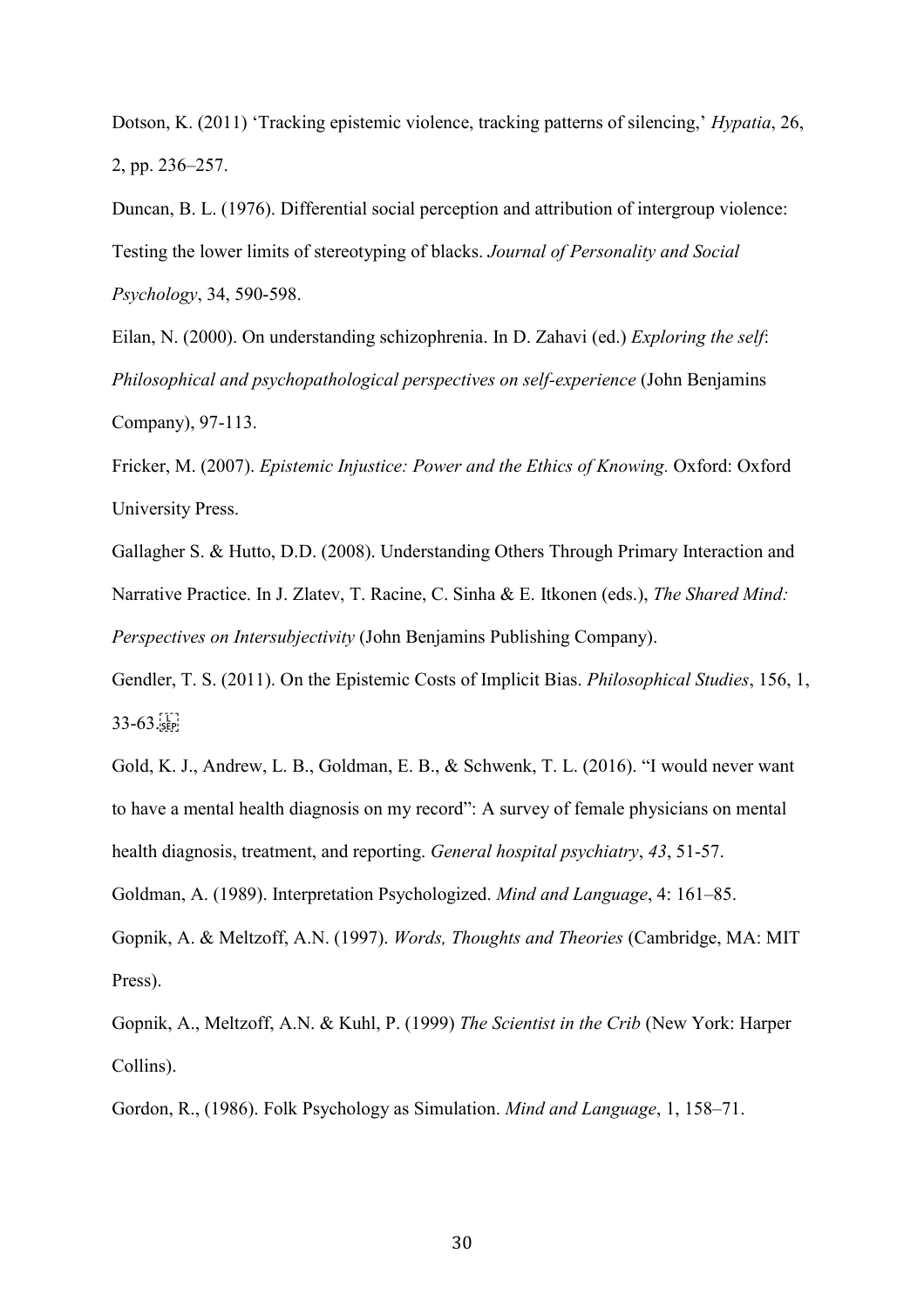Dotson, K. (2011) 'Tracking epistemic violence, tracking patterns of silencing,' *Hypatia*, 26, 2, pp. 236–257.

Duncan, B. L. (1976). Differential social perception and attribution of intergroup violence: Testing the lower limits of stereotyping of blacks. *Journal of Personality and Social Psychology*, 34, 590-598.

Eilan, N. (2000). On understanding schizophrenia. In D. Zahavi (ed.) *Exploring the self*: *Philosophical and psychopathological perspectives on self-experience* (John Benjamins Company), 97-113.

Fricker, M. (2007). *Epistemic Injustice: Power and the Ethics of Knowing.* Oxford: Oxford University Press.

Gallagher S. & Hutto, D.D. (2008). Understanding Others Through Primary Interaction and Narrative Practice. In J. Zlatev, T. Racine, C. Sinha & E. Itkonen (eds.), *The Shared Mind: Perspectives on Intersubjectivity* (John Benjamins Publishing Company).

Gendler, T. S. (2011). On the Epistemic Costs of Implicit Bias. *Philosophical Studies*, 156, 1,  $33-63.5$ 

Gold, K. J., Andrew, L. B., Goldman, E. B., & Schwenk, T. L. (2016). "I would never want to have a mental health diagnosis on my record": A survey of female physicians on mental health diagnosis, treatment, and reporting. *General hospital psychiatry*, *43*, 51-57.

Goldman, A. (1989). Interpretation Psychologized. *Mind and Language*, 4: 161–85.

Gopnik, A. & Meltzoff, A.N. (1997). *Words, Thoughts and Theories* (Cambridge, MA: MIT Press).

Gopnik, A., Meltzoff, A.N. & Kuhl, P. (1999) *The Scientist in the Crib* (New York: Harper Collins).

Gordon, R., (1986). Folk Psychology as Simulation. *Mind and Language*, 1, 158–71.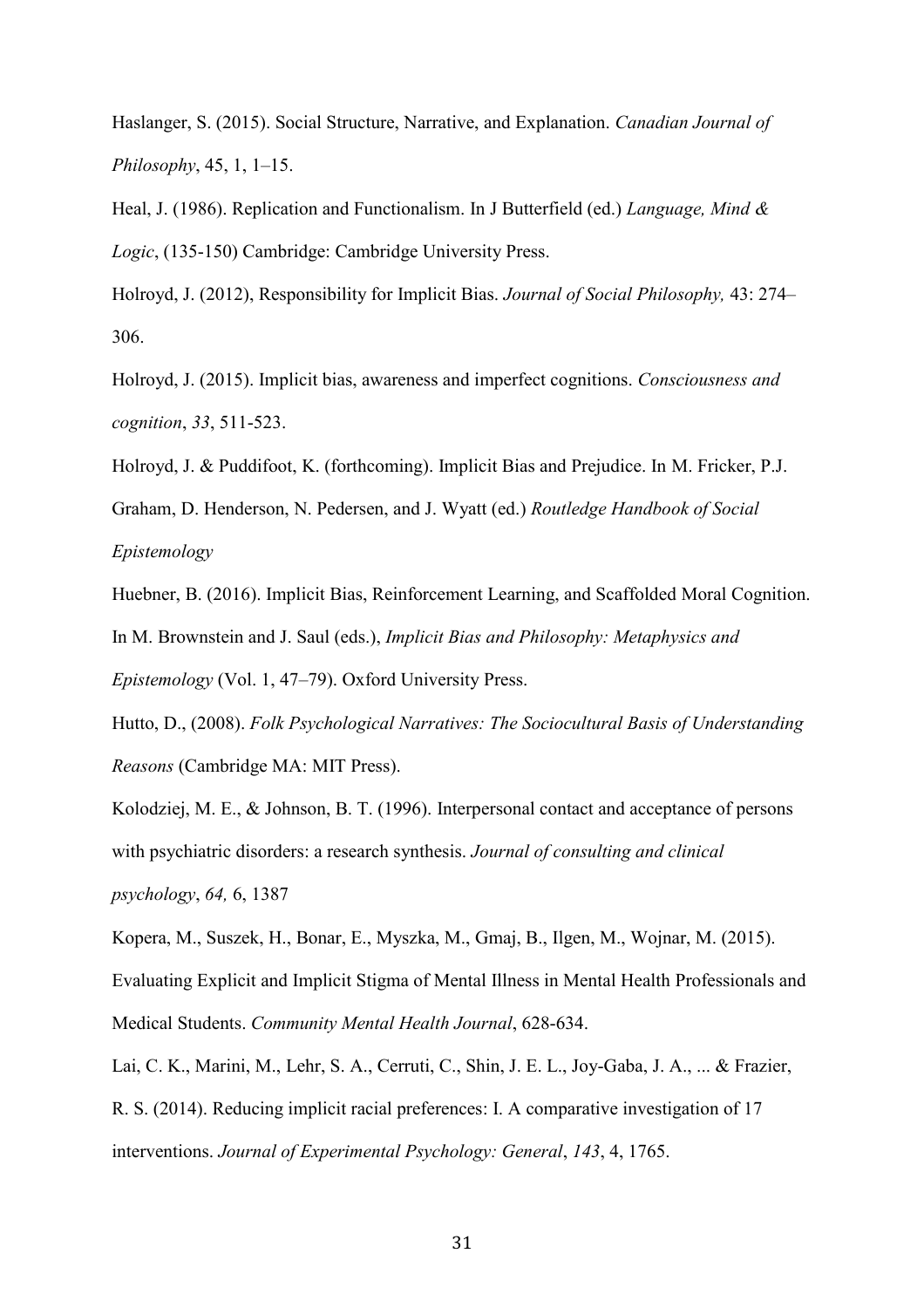Haslanger, S. (2015). Social Structure, Narrative, and Explanation. *Canadian Journal of Philosophy*, 45, 1, 1–15.

Heal, J. (1986). Replication and Functionalism. In J Butterfield (ed.) *Language, Mind & Logic*, (135-150) Cambridge: Cambridge University Press.

Holroyd, J. (2012), Responsibility for Implicit Bias. *Journal of Social Philosophy,* 43: 274– 306.

Holroyd, J. (2015). Implicit bias, awareness and imperfect cognitions. *Consciousness and cognition*, *33*, 511-523.

Holroyd, J. & Puddifoot, K. (forthcoming). Implicit Bias and Prejudice. In M. Fricker, P.J.

Graham, D. Henderson, N. Pedersen, and J. Wyatt (ed.) *Routledge Handbook of Social Epistemology*

Huebner, B. (2016). Implicit Bias, Reinforcement Learning, and Scaffolded Moral Cognition. In M. Brownstein and J. Saul (eds.), *Implicit Bias and Philosophy: Metaphysics and Epistemology* (Vol. 1, 47–79). Oxford University Press.

Hutto, D., (2008). *Folk Psychological Narratives: The Sociocultural Basis of Understanding Reasons* (Cambridge MA: MIT Press).

Kolodziej, M. E., & Johnson, B. T. (1996). Interpersonal contact and acceptance of persons with psychiatric disorders: a research synthesis. *Journal of consulting and clinical psychology*, *64,* 6, 1387

Kopera, M., Suszek, H., Bonar, E., Myszka, M., Gmaj, B., Ilgen, M., Wojnar, M. (2015). Evaluating Explicit and Implicit Stigma of Mental Illness in Mental Health Professionals and

Medical Students. *Community Mental Health Journal*, 628-634.

Lai, C. K., Marini, M., Lehr, S. A., Cerruti, C., Shin, J. E. L., Joy-Gaba, J. A., ... & Frazier, R. S. (2014). Reducing implicit racial preferences: I. A comparative investigation of 17 interventions. *Journal of Experimental Psychology: General*, *143*, 4, 1765.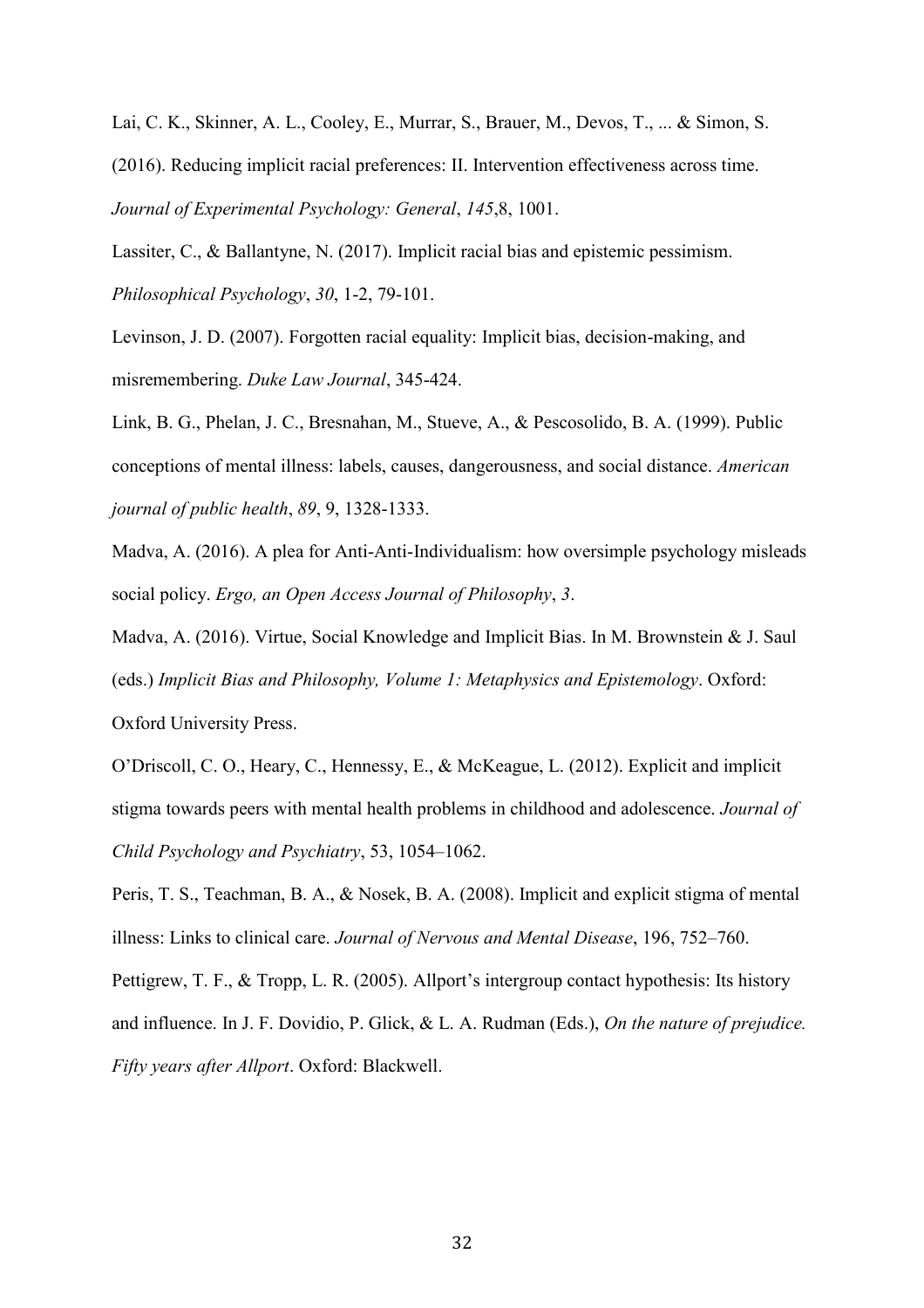Lai, C. K., Skinner, A. L., Cooley, E., Murrar, S., Brauer, M., Devos, T., ... & Simon, S. (2016). Reducing implicit racial preferences: II. Intervention effectiveness across time. *Journal of Experimental Psychology: General*, *145*,8, 1001.

Lassiter, C., & Ballantyne, N. (2017). Implicit racial bias and epistemic pessimism. *Philosophical Psychology*, *30*, 1-2, 79-101.

Levinson, J. D. (2007). Forgotten racial equality: Implicit bias, decision-making, and misremembering. *Duke Law Journal*, 345-424.

Link, B. G., Phelan, J. C., Bresnahan, M., Stueve, A., & Pescosolido, B. A. (1999). Public conceptions of mental illness: labels, causes, dangerousness, and social distance. *American journal of public health*, *89*, 9, 1328-1333.

Madva, A. (2016). A plea for Anti-Anti-Individualism: how oversimple psychology misleads social policy. *Ergo, an Open Access Journal of Philosophy*, *3*.

Madva, A. (2016). Virtue, Social Knowledge and Implicit Bias. In M. Brownstein & J. Saul (eds.) *Implicit Bias and Philosophy, Volume 1: Metaphysics and Epistemology*. Oxford: Oxford University Press.

O'Driscoll, C. O., Heary, C., Hennessy, E., & McKeague, L. (2012). Explicit and implicit stigma towards peers with mental health problems in childhood and adolescence. *Journal of Child Psychology and Psychiatry*, 53, 1054–1062.

Peris, T. S., Teachman, B. A., & Nosek, B. A. (2008). Implicit and explicit stigma of mental illness: Links to clinical care. *Journal of Nervous and Mental Disease*, 196, 752–760.

Pettigrew, T. F., & Tropp, L. R. (2005). Allport's intergroup contact hypothesis: Its history and influence. In J. F. Dovidio, P. Glick, & L. A. Rudman (Eds.), *On the nature of prejudice. Fifty years after Allport*. Oxford: Blackwell.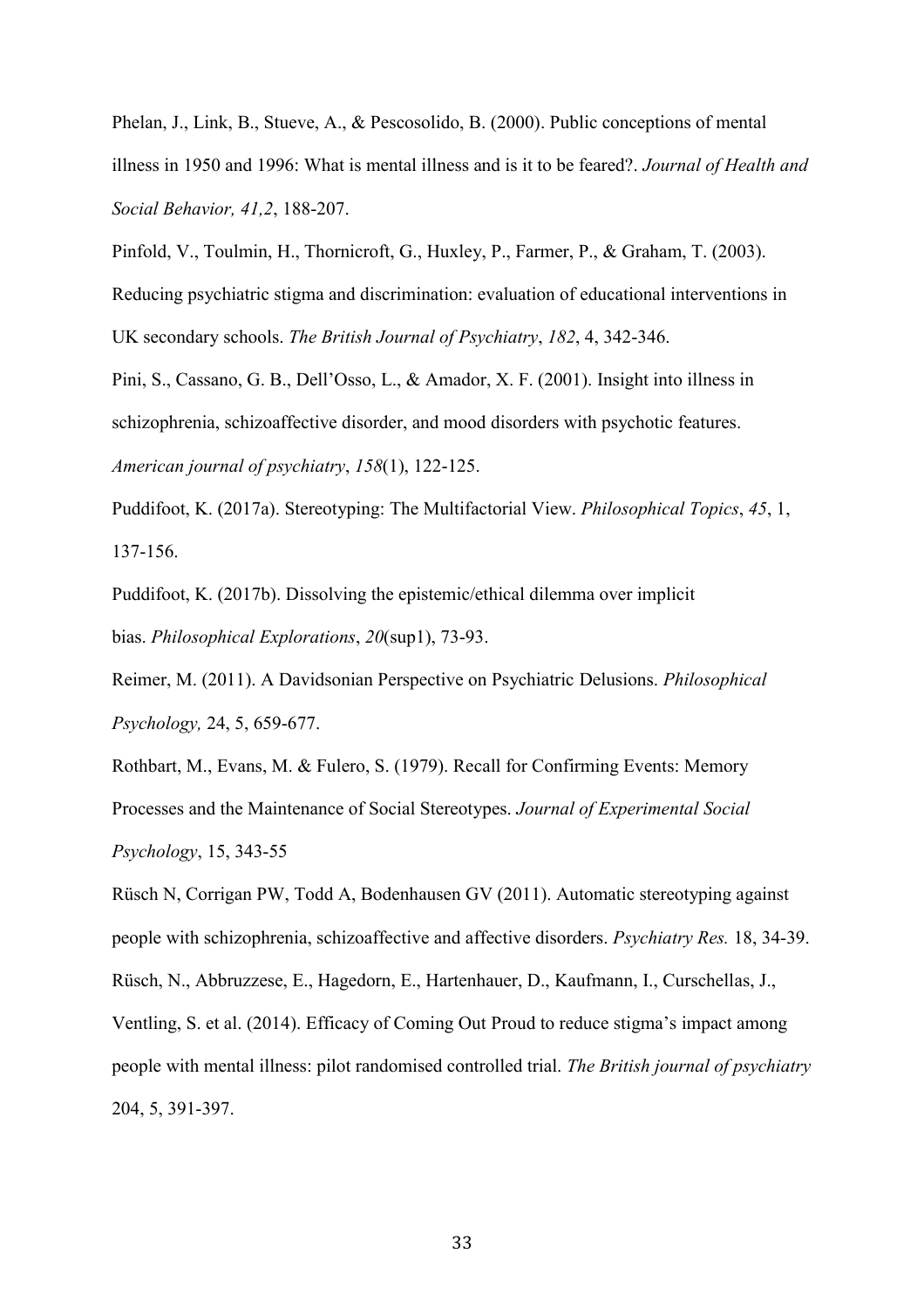Phelan, J., Link, B., Stueve, A., & Pescosolido, B. (2000). Public conceptions of mental illness in 1950 and 1996: What is mental illness and is it to be feared?. *Journal of Health and Social Behavior, 41,2*, 188-207.

Pinfold, V., Toulmin, H., Thornicroft, G., Huxley, P., Farmer, P., & Graham, T. (2003). Reducing psychiatric stigma and discrimination: evaluation of educational interventions in UK secondary schools. *The British Journal of Psychiatry*, *182*, 4, 342-346.

Pini, S., Cassano, G. B., Dell'Osso, L., & Amador, X. F. (2001). Insight into illness in schizophrenia, schizoaffective disorder, and mood disorders with psychotic features. *American journal of psychiatry*, *158*(1), 122-125.

Puddifoot, K. (2017a). Stereotyping: The Multifactorial View. *Philosophical Topics*, *45*, 1, 137-156.

Puddifoot, K. (2017b). Dissolving the epistemic/ethical dilemma over implicit bias. *Philosophical Explorations*, *20*(sup1), 73-93.

Reimer, M. (2011). A Davidsonian Perspective on Psychiatric Delusions. *Philosophical Psychology,* 24, 5, 659-677.

Rothbart, M., Evans, M. & Fulero, S. (1979). Recall for Confirming Events: Memory Processes and the Maintenance of Social Stereotypes. *Journal of Experimental Social Psychology*, 15, 343-55

Rüsch N, Corrigan PW, Todd A, Bodenhausen GV (2011). Automatic stereotyping against people with schizophrenia, schizoaffective and affective disorders. *Psychiatry Res.* 18, 34-39. Rüsch, N., Abbruzzese, E., Hagedorn, E., Hartenhauer, D., Kaufmann, I., Curschellas, J., Ventling, S. et al. (2014). Efficacy of Coming Out Proud to reduce stigma's impact among people with mental illness: pilot randomised controlled trial. *The British journal of psychiatry* 204, 5, 391-397.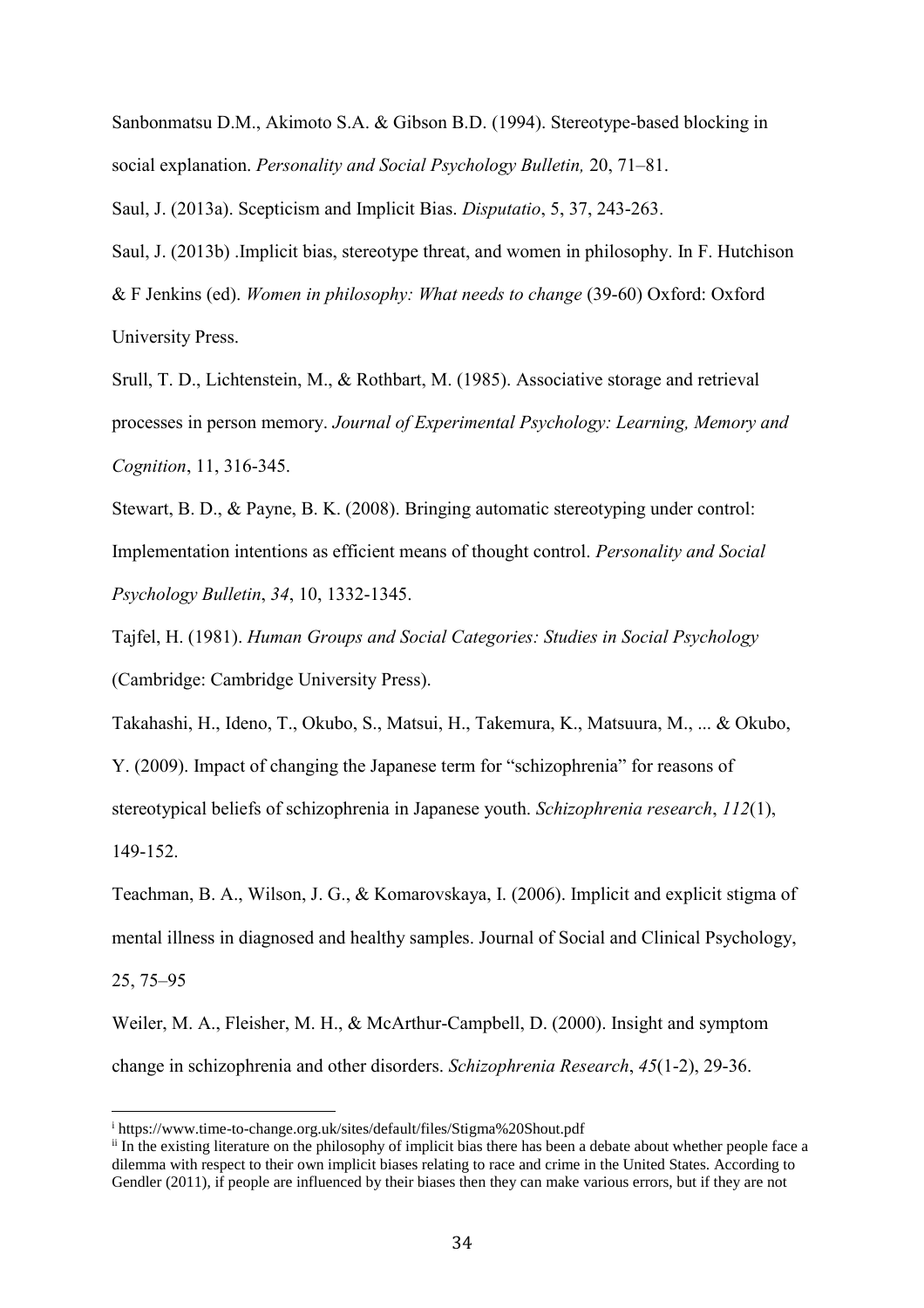Sanbonmatsu D.M., Akimoto S.A. & Gibson B.D. (1994). Stereotype-based blocking in social explanation. *Personality and Social Psychology Bulletin,* 20, 71–81.

Saul, J. (2013a). Scepticism and Implicit Bias. *Disputatio*, 5, 37, 243-263.

Saul, J. (2013b) .Implicit bias, stereotype threat, and women in philosophy. In F. Hutchison & F Jenkins (ed). *Women in philosophy: What needs to change* (39-60) Oxford: Oxford University Press.

Srull, T. D., Lichtenstein, M., & Rothbart, M. (1985). Associative storage and retrieval processes in person memory. *Journal of Experimental Psychology: Learning, Memory and Cognition*, 11, 316-345.

Stewart, B. D., & Payne, B. K. (2008). Bringing automatic stereotyping under control: Implementation intentions as efficient means of thought control. *Personality and Social Psychology Bulletin*, *34*, 10, 1332-1345.

Tajfel, H. (1981). *Human Groups and Social Categories: Studies in Social Psychology* (Cambridge: Cambridge University Press).

Takahashi, H., Ideno, T., Okubo, S., Matsui, H., Takemura, K., Matsuura, M., ... & Okubo, Y. (2009). Impact of changing the Japanese term for "schizophrenia" for reasons of stereotypical beliefs of schizophrenia in Japanese youth. *Schizophrenia research*, *112*(1), 149-152.

Teachman, B. A., Wilson, J. G., & Komarovskaya, I. (2006). Implicit and explicit stigma of mental illness in diagnosed and healthy samples. Journal of Social and Clinical Psychology, 25, 75–95

Weiler, M. A., Fleisher, M. H., & McArthur-Campbell, D. (2000). Insight and symptom change in schizophrenia and other disorders. *Schizophrenia Research*, *45*(1-2), 29-36.

 $\overline{\phantom{a}}$ 

<sup>i</sup> https://www.time-to-change.org.uk/sites/default/files/Stigma%20Shout.pdf

<sup>&</sup>lt;sup>ii</sup> In the existing literature on the philosophy of implicit bias there has been a debate about whether people face a dilemma with respect to their own implicit biases relating to race and crime in the United States. According to Gendler (2011), if people are influenced by their biases then they can make various errors, but if they are not